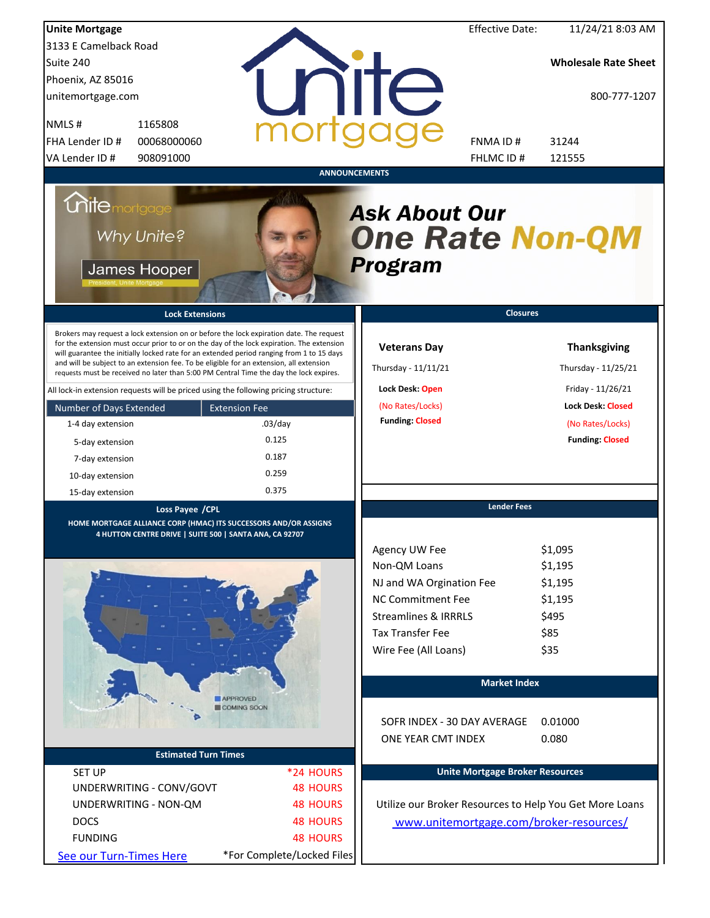| <b>Unite Mortgage</b>                                                                                                                                                                                                                                                                                                                                                                                                                                                                                                                                                                                                                                                                                                                        |                                                                                       | <b>Effective Date:</b>                                                                                                                                                          | 11/24/21 8:03 AM                                                                                                                                             |
|----------------------------------------------------------------------------------------------------------------------------------------------------------------------------------------------------------------------------------------------------------------------------------------------------------------------------------------------------------------------------------------------------------------------------------------------------------------------------------------------------------------------------------------------------------------------------------------------------------------------------------------------------------------------------------------------------------------------------------------------|---------------------------------------------------------------------------------------|---------------------------------------------------------------------------------------------------------------------------------------------------------------------------------|--------------------------------------------------------------------------------------------------------------------------------------------------------------|
| 3133 E Camelback Road                                                                                                                                                                                                                                                                                                                                                                                                                                                                                                                                                                                                                                                                                                                        |                                                                                       |                                                                                                                                                                                 |                                                                                                                                                              |
| Suite 240                                                                                                                                                                                                                                                                                                                                                                                                                                                                                                                                                                                                                                                                                                                                    |                                                                                       |                                                                                                                                                                                 | <b>Wholesale Rate Sheet</b>                                                                                                                                  |
| Phoenix, AZ 85016                                                                                                                                                                                                                                                                                                                                                                                                                                                                                                                                                                                                                                                                                                                            |                                                                                       |                                                                                                                                                                                 |                                                                                                                                                              |
| unitemortgage.com                                                                                                                                                                                                                                                                                                                                                                                                                                                                                                                                                                                                                                                                                                                            |                                                                                       | <b>NIIC</b>                                                                                                                                                                     | 800-777-1207                                                                                                                                                 |
| 1165808<br>NMLS#                                                                                                                                                                                                                                                                                                                                                                                                                                                                                                                                                                                                                                                                                                                             |                                                                                       |                                                                                                                                                                                 |                                                                                                                                                              |
| FHA Lender ID #<br>00068000060                                                                                                                                                                                                                                                                                                                                                                                                                                                                                                                                                                                                                                                                                                               |                                                                                       | FNMA ID#                                                                                                                                                                        | 31244                                                                                                                                                        |
| VA Lender ID #<br>908091000                                                                                                                                                                                                                                                                                                                                                                                                                                                                                                                                                                                                                                                                                                                  |                                                                                       | FHLMC ID#                                                                                                                                                                       | 121555                                                                                                                                                       |
| <i><b>Chite mortgage</b></i><br>Why Unite?<br>James Hooper<br><b>Lock Extensions</b><br>Brokers may request a lock extension on or before the lock expiration date. The request<br>for the extension must occur prior to or on the day of the lock expiration. The extension<br>will guarantee the initially locked rate for an extended period ranging from 1 to 15 days<br>and will be subject to an extension fee. To be eligible for an extension, all extension<br>requests must be received no later than 5:00 PM Central Time the day the lock expires.<br>All lock-in extension requests will be priced using the following pricing structure:<br>Number of Days Extended<br>1-4 day extension<br>5-day extension<br>7-day extension | <b>ANNOUNCEMENTS</b><br><b>Extension Fee</b><br>$.03$ /day<br>0.125<br>0.187<br>0.259 | <b>Ask About Our</b><br><b>One Rate Non-QM</b><br><b>Program</b><br><b>Veterans Day</b><br>Thursday - 11/11/21<br>Lock Desk: Open<br>(No Rates/Locks)<br><b>Funding: Closed</b> | <b>Closures</b><br><b>Thanksgiving</b><br>Thursday - 11/25/21<br>Friday - 11/26/21<br><b>Lock Desk: Closed</b><br>(No Rates/Locks)<br><b>Funding: Closed</b> |
| 10-day extension                                                                                                                                                                                                                                                                                                                                                                                                                                                                                                                                                                                                                                                                                                                             | 0.375                                                                                 |                                                                                                                                                                                 |                                                                                                                                                              |
| 15-day extension                                                                                                                                                                                                                                                                                                                                                                                                                                                                                                                                                                                                                                                                                                                             |                                                                                       |                                                                                                                                                                                 | <b>Lender Fees</b>                                                                                                                                           |
| Loss Payee / CPL<br>HOME MORTGAGE ALLIANCE CORP (HMAC) ITS SUCCESSORS AND/OR ASSIGNS                                                                                                                                                                                                                                                                                                                                                                                                                                                                                                                                                                                                                                                         |                                                                                       |                                                                                                                                                                                 |                                                                                                                                                              |
| 4 HUTTON CENTRE DRIVE   SUITE 500   SANTA ANA, CA 92707                                                                                                                                                                                                                                                                                                                                                                                                                                                                                                                                                                                                                                                                                      |                                                                                       | Agency UW Fee<br>Non-QM Loans<br>NJ and WA Orgination Fee                                                                                                                       | \$1,095<br>\$1,195<br>\$1,195                                                                                                                                |
|                                                                                                                                                                                                                                                                                                                                                                                                                                                                                                                                                                                                                                                                                                                                              |                                                                                       | <b>NC Commitment Fee</b>                                                                                                                                                        | \$1,195                                                                                                                                                      |
|                                                                                                                                                                                                                                                                                                                                                                                                                                                                                                                                                                                                                                                                                                                                              |                                                                                       | <b>Streamlines &amp; IRRRLS</b>                                                                                                                                                 | \$495                                                                                                                                                        |
|                                                                                                                                                                                                                                                                                                                                                                                                                                                                                                                                                                                                                                                                                                                                              |                                                                                       | <b>Tax Transfer Fee</b>                                                                                                                                                         | \$85                                                                                                                                                         |
|                                                                                                                                                                                                                                                                                                                                                                                                                                                                                                                                                                                                                                                                                                                                              |                                                                                       | Wire Fee (All Loans)                                                                                                                                                            | \$35                                                                                                                                                         |
|                                                                                                                                                                                                                                                                                                                                                                                                                                                                                                                                                                                                                                                                                                                                              |                                                                                       |                                                                                                                                                                                 | <b>Market Index</b>                                                                                                                                          |
|                                                                                                                                                                                                                                                                                                                                                                                                                                                                                                                                                                                                                                                                                                                                              | APPROVED<br>COMING SOON                                                               |                                                                                                                                                                                 |                                                                                                                                                              |
|                                                                                                                                                                                                                                                                                                                                                                                                                                                                                                                                                                                                                                                                                                                                              |                                                                                       | SOFR INDEX - 30 DAY AVERAGE                                                                                                                                                     | 0.01000                                                                                                                                                      |
| <b>Estimated Turn Times</b>                                                                                                                                                                                                                                                                                                                                                                                                                                                                                                                                                                                                                                                                                                                  |                                                                                       | ONE YEAR CMT INDEX                                                                                                                                                              | 0.080                                                                                                                                                        |
| <b>SET UP</b>                                                                                                                                                                                                                                                                                                                                                                                                                                                                                                                                                                                                                                                                                                                                | *24 HOURS                                                                             |                                                                                                                                                                                 | <b>Unite Mortgage Broker Resources</b>                                                                                                                       |
| UNDERWRITING - CONV/GOVT                                                                                                                                                                                                                                                                                                                                                                                                                                                                                                                                                                                                                                                                                                                     | <b>48 HOURS</b>                                                                       |                                                                                                                                                                                 |                                                                                                                                                              |
| UNDERWRITING - NON-QM                                                                                                                                                                                                                                                                                                                                                                                                                                                                                                                                                                                                                                                                                                                        | <b>48 HOURS</b>                                                                       |                                                                                                                                                                                 | Utilize our Broker Resources to Help You Get More Loans                                                                                                      |
| <b>DOCS</b>                                                                                                                                                                                                                                                                                                                                                                                                                                                                                                                                                                                                                                                                                                                                  | <b>48 HOURS</b>                                                                       |                                                                                                                                                                                 | www.unitemortgage.com/broker-resources/                                                                                                                      |
| <b>FUNDING</b>                                                                                                                                                                                                                                                                                                                                                                                                                                                                                                                                                                                                                                                                                                                               | <b>48 HOURS</b>                                                                       |                                                                                                                                                                                 |                                                                                                                                                              |
| See our Turn-Times Here                                                                                                                                                                                                                                                                                                                                                                                                                                                                                                                                                                                                                                                                                                                      | *For Complete/Locked Files                                                            |                                                                                                                                                                                 |                                                                                                                                                              |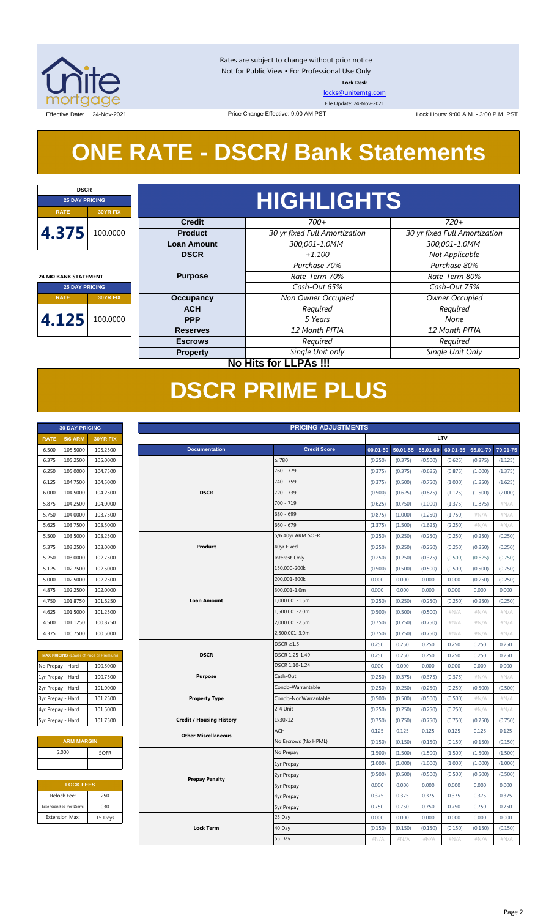

Rates are subject to change without prior notice Not for Public View • For Professional Use Only **Lock Desk**

[locks@unitemtg.com](mailto:locks@unitemtg.com)

File Update: 24-Nov-2021

Effective Date: 24-Nov-2021 Price Change Effective: 9:00 AM PST Lock Hours: 9:00 A.M. - 3:00 P.M. PST

## **ONE RATE - DSCR/ Bank Statements**

Price Change Effective: 9:00 AM PST

| <b>DSCR</b>                 |                              |                    |                               |                               |      |  |  |  |
|-----------------------------|------------------------------|--------------------|-------------------------------|-------------------------------|------|--|--|--|
| <b>25 DAY PRICING</b>       |                              | <b>HIGHLIGHTS</b>  |                               |                               |      |  |  |  |
| <b>RATE</b>                 | 30YR FIX                     |                    |                               |                               |      |  |  |  |
|                             |                              | <b>Credit</b>      | $700+$                        | $720+$                        |      |  |  |  |
| 4.375                       | 100.0000                     | <b>Product</b>     | 30 yr fixed Full Amortization | 30 yr fixed Full Amortization |      |  |  |  |
|                             |                              | <b>Loan Amount</b> | 300,001-1.0MM                 | 300,001-1.0MM                 |      |  |  |  |
|                             |                              | <b>DSCR</b>        | $+1.100$                      | Not Applicable                |      |  |  |  |
|                             |                              |                    | Purchase 70%                  | Purchase 80%                  |      |  |  |  |
| <b>24 MO BANK STATEMENT</b> |                              | <b>Purpose</b>     | Rate-Term 70%                 | Rate-Term 80%                 |      |  |  |  |
| <b>25 DAY PRICING</b>       |                              |                    | Cash-Out 65%                  | Cash-Out 75%                  |      |  |  |  |
| <b>RATE</b>                 | <b>30YR FIX</b>              | <b>Occupancy</b>   | Non Owner Occupied            | Owner Occupied                |      |  |  |  |
|                             | 100.0000                     | <b>ACH</b>         | Required                      | Required                      |      |  |  |  |
| 4.125                       |                              |                    | <b>PPP</b>                    | 5 Years                       | None |  |  |  |
|                             |                              | <b>Reserves</b>    | 12 Month PITIA                | 12 Month PITIA                |      |  |  |  |
|                             |                              | <b>Escrows</b>     | Required                      | Required                      |      |  |  |  |
|                             |                              | <b>Property</b>    | Single Unit only              | Single Unit Only              |      |  |  |  |
|                             | <b>No Hits for LLPAs !!!</b> |                    |                               |                               |      |  |  |  |

## **DSCR PRIME PLUS**

|             | <b>30 DAY PRICING</b> |                 |  |  |  |  |  |
|-------------|-----------------------|-----------------|--|--|--|--|--|
| <b>RATE</b> | <b>5/6 ARM</b>        | <b>30YR FIX</b> |  |  |  |  |  |
| 6.500       | 105.5000              | 105.2500        |  |  |  |  |  |
| 6.375       | 105.2500              | 105.0000        |  |  |  |  |  |
| 6.250       | 105.0000              | 104.7500        |  |  |  |  |  |
| 6.125       | 104.7500              | 104.5000        |  |  |  |  |  |
| 6.000       | 104.5000              | 104.2500        |  |  |  |  |  |
| 5.875       | 104.2500              | 104.0000        |  |  |  |  |  |
| 5.750       | 104.0000              | 103.7500        |  |  |  |  |  |
| 5.625       | 103.7500              | 103.5000        |  |  |  |  |  |
| 5.500       | 103.5000              | 103.2500        |  |  |  |  |  |
| 5.375       | 103.2500              | 103,0000        |  |  |  |  |  |
| 5.250       | 103.0000              | 102.7500        |  |  |  |  |  |
| 5.125       | 102.7500              | 102.5000        |  |  |  |  |  |
| 5.000       | 102.5000              | 102.2500        |  |  |  |  |  |
| 4.875       | 102.2500              | 102,0000        |  |  |  |  |  |
| 4.750       | 101.8750              | 101.6250        |  |  |  |  |  |
| 4.625       | 101.5000              | 101.2500        |  |  |  |  |  |
| 4.500       | 101.1250              | 100.8750        |  |  |  |  |  |
| 4.375       | 100.7500              | 100.5000        |  |  |  |  |  |

| <b>MAX PRICING</b> (Lower of Price or Premium) |          |  |  |  |  |  |
|------------------------------------------------|----------|--|--|--|--|--|
| No Prepay - Hard                               | 100.5000 |  |  |  |  |  |
| 1yr Prepay - Hard                              | 100.7500 |  |  |  |  |  |
| 2yr Prepay - Hard                              | 101.0000 |  |  |  |  |  |
| 3yr Prepay - Hard                              | 101.2500 |  |  |  |  |  |
| 4yr Prepay - Hard                              | 101.5000 |  |  |  |  |  |
| 5yr Prepay - Hard                              | 101.7500 |  |  |  |  |  |

| <b>ARM MARGIN</b> |             |
|-------------------|-------------|
| 5.000             | <b>SOFR</b> |
|                   |             |

| <b>LOCK FEES</b> |  |  |  |  |  |  |
|------------------|--|--|--|--|--|--|
| .250             |  |  |  |  |  |  |
| .030             |  |  |  |  |  |  |
| 15 Days          |  |  |  |  |  |  |
|                  |  |  |  |  |  |  |

| LTV<br><b>RATE</b><br><b>5/6 ARM</b><br>30YR FIX<br><b>Credit Score</b><br>105.5000<br><b>Documentation</b><br>50.01-55<br>$55.01 - 60$<br>60.01-65<br>65.01-70<br>6.500<br>105.2500<br>$00.01 - 50$<br>> 780<br>105.2500<br>105.0000<br>(0.500)<br>(0.875)<br>6.375<br>(0.250)<br>(0.375)<br>(0.625)<br>(1.125)<br>105.0000<br>104.7500<br>760 - 779<br>(0.375)<br>(0.875)<br>6.250<br>(0.375)<br>(0.625)<br>(1.000)<br>(1.375)<br>740 - 759<br>104.7500<br>104.5000<br>(0.500)<br>6.125<br>(0.375)<br>(0.750)<br>(1.000)<br>(1.250)<br>(1.625)<br><b>DSCR</b><br>720 - 739<br>6.000<br>104.5000<br>104.2500<br>(0.500)<br>(0.625)<br>(0.875)<br>(1.125)<br>(1.500)<br>(2.000)<br>700 - 719<br>5.875<br>104.2500<br>104.0000<br>(1.375)<br>#N/A<br>(0.625)<br>(0.750)<br>(1.000)<br>(1.875)<br>104.0000<br>103.7500<br>680 - 699<br>(0.875)<br>(1.000)<br>(1.250)<br>(1.750)<br>5.750<br>#N/A<br>#N/A<br>$660 - 679$<br>5.625<br>103.7500<br>103.5000<br>(1.375)<br>(1.500)<br>(1.625)<br>(2.250)<br>$\#N/A$<br>$\#N/A$<br>5.500<br>103.5000<br>103.2500<br>5/6 40yr ARM SOFR<br>(0.250)<br>(0.250)<br>(0.250)<br>(0.250)<br>(0.250)<br>(0.250)<br>40yr Fixed<br>5.375<br>103.2500<br>103.0000<br>Product<br>(0.250)<br>(0.250)<br>(0.250)<br>(0.250)<br>(0.250)<br>(0.250)<br>Interest-Only<br>5.250<br>103.0000<br>102.7500<br>(0.250)<br>(0.250)<br>(0.375)<br>(0.500)<br>(0.625)<br>(0.750)<br>150,000-200k<br>5.125<br>102.7500<br>102.5000<br>(0.500)<br>(0.500)<br>(0.500)<br>(0.500)<br>(0.500)<br>(0.750)<br>102.5000<br>200,001-300k<br>5.000<br>102.2500<br>0.000<br>0.000<br>0.000<br>0.000<br>(0.250)<br>(0.250)<br>300,001-1.0m<br>4.875<br>102.2500<br>102.0000<br>0.000<br>0.000<br>0.000<br>0.000<br>0.000<br>0.000<br><b>Loan Amount</b><br>1,000,001-1.5m<br>4.750<br>101.8750<br>101.6250<br>(0.250)<br>(0.250)<br>(0.250)<br>(0.250)<br>(0.250)<br>(0.250)<br>101.5000<br>101.2500<br>1,500,001-2.0m<br>4.625<br>(0.500)<br>(0.500)<br>(0.500)<br>#N/A<br>#N/A<br>#N/A<br>2,000,001-2.5m<br>101.1250<br>100.8750<br>4.500<br>(0.750)<br>(0.750)<br>(0.750)<br>#N/A<br>#N/A<br>#N/A<br>4.375<br>100.7500<br>100.5000<br>2,500,001-3.0m<br>$\#N/A$<br>$\#N/A$<br>#N/A<br>(0.750)<br>(0.750)<br>(0.750)<br>$DSCR \geq 1.5$<br>0.250<br>0.250<br>0.250<br>0.250<br>0.250<br>0.250<br><b>DSCR</b><br>DSCR 1.25-1.49<br>0.250<br>0.250<br>0.250<br>0.250<br>0.250<br>0.250<br>MAX PRICING (Lower of Price or Premium)<br>DSCR 1.10-1.24<br>100.5000<br>0.000<br>0.000<br>0.000<br>0.000<br>0.000<br>0.000<br>100.7500<br>Cash-Out<br><b>Purpose</b><br>(0.250)<br>(0.375)<br>(0.375)<br>(0.375)<br>#N/A<br>#N/A<br>101.0000<br>Condo-Warrantable<br>(0.250)<br>(0.250)<br>(0.250)<br>(0.250)<br>(0.500)<br>(0.500)<br><b>Property Type</b><br>Condo-NonWarrantable<br>101.2500<br>(0.500)<br>(0.500)<br>(0.500)<br>(0.500)<br>#N/A<br>#N/A<br>2-4 Unit<br>101.5000<br>(0.250)<br>(0.250)<br>(0.250)<br>(0.250)<br>#N/A<br>#N/A<br>101.7500<br><b>Credit / Housing History</b><br>1x30x12<br>(0.750)<br>(0.750)<br>(0.750)<br>(0.750)<br>(0.750)<br>(0.750)<br><b>ACH</b><br>0.125<br>0.125<br>0.125<br>0.125<br>0.125<br>0.125<br><b>Other Miscellaneous</b><br><b>ARM MARGIN</b><br>No Escrows (No HPML)<br>(0.150)<br>(0.150)<br>(0.150)<br>(0.150)<br>(0.150)<br>(0.150)<br>5.000<br>SOFR<br>No Prepay<br>(1.500)<br>(1.500)<br>(1.500)<br>(1.500)<br>(1.500)<br>(1.500)<br>(1.000)<br>(1.000)<br>(1.000)<br>(1.000)<br>(1.000)<br>(1.000)<br>1yr Prepay<br>(0.500)<br>(0.500)<br>(0.500)<br>(0.500)<br>(0.500)<br>(0.500)<br>2yr Prepay<br><b>Prepay Penalty</b><br><b>LOCK FEES</b><br>0.000<br>0.000<br>0.000<br>0.000<br>0.000<br>0.000<br><b>3yr Prepay</b><br>Relock Fee:<br>.250<br>0.375<br>0.375<br>0.375<br>0.375<br>0.375<br>0.375<br>4yr Prepay<br>Extension Fee Per Diem:<br>.030<br>0.750<br>0.750<br>0.750<br>0.750<br>0.750<br>0.750<br>5yr Prepay<br>25 Day<br>0.000<br><b>Extension Max:</b><br>15 Days<br>0.000<br>0.000<br>0.000<br>0.000<br>0.000<br><b>Lock Term</b><br>40 Day<br>(0.150)<br>(0.150)<br>(0.150)<br>(0.150)<br>(0.150)<br>(0.150)<br>55 Day<br>#N/A<br>$\#N/A$<br>#N/A<br>#N/A<br>$\#N/A$<br>#N/A | <b>PRICING ADJUSTMENTS</b><br><b>30 DAY PRICING</b> |  |  |  |  |  |  |  |  |          |
|-----------------------------------------------------------------------------------------------------------------------------------------------------------------------------------------------------------------------------------------------------------------------------------------------------------------------------------------------------------------------------------------------------------------------------------------------------------------------------------------------------------------------------------------------------------------------------------------------------------------------------------------------------------------------------------------------------------------------------------------------------------------------------------------------------------------------------------------------------------------------------------------------------------------------------------------------------------------------------------------------------------------------------------------------------------------------------------------------------------------------------------------------------------------------------------------------------------------------------------------------------------------------------------------------------------------------------------------------------------------------------------------------------------------------------------------------------------------------------------------------------------------------------------------------------------------------------------------------------------------------------------------------------------------------------------------------------------------------------------------------------------------------------------------------------------------------------------------------------------------------------------------------------------------------------------------------------------------------------------------------------------------------------------------------------------------------------------------------------------------------------------------------------------------------------------------------------------------------------------------------------------------------------------------------------------------------------------------------------------------------------------------------------------------------------------------------------------------------------------------------------------------------------------------------------------------------------------------------------------------------------------------------------------------------------------------------------------------------------------------------------------------------------------------------------------------------------------------------------------------------------------------------------------------------------------------------------------------------------------------------------------------------------------------------------------------------------------------------------------------------------------------------------------------------------------------------------------------------------------------------------------------------------------------------------------------------------------------------------------------------------------------------------------------------------------------------------------------------------------------------------------------------------------------------------------------------------------------------------------------------------------------------------------------------------------------------------------------------------------------------------------------------------------------------------------------------------------------------------------------------------------------------------------------------------------------------------------------------------------------------------------------------------------------------------------------------------------------------------------------------------------------------------------|-----------------------------------------------------|--|--|--|--|--|--|--|--|----------|
|                                                                                                                                                                                                                                                                                                                                                                                                                                                                                                                                                                                                                                                                                                                                                                                                                                                                                                                                                                                                                                                                                                                                                                                                                                                                                                                                                                                                                                                                                                                                                                                                                                                                                                                                                                                                                                                                                                                                                                                                                                                                                                                                                                                                                                                                                                                                                                                                                                                                                                                                                                                                                                                                                                                                                                                                                                                                                                                                                                                                                                                                                                                                                                                                                                                                                                                                                                                                                                                                                                                                                                                                                                                                                                                                                                                                                                                                                                                                                                                                                                                                                                                                                           |                                                     |  |  |  |  |  |  |  |  |          |
|                                                                                                                                                                                                                                                                                                                                                                                                                                                                                                                                                                                                                                                                                                                                                                                                                                                                                                                                                                                                                                                                                                                                                                                                                                                                                                                                                                                                                                                                                                                                                                                                                                                                                                                                                                                                                                                                                                                                                                                                                                                                                                                                                                                                                                                                                                                                                                                                                                                                                                                                                                                                                                                                                                                                                                                                                                                                                                                                                                                                                                                                                                                                                                                                                                                                                                                                                                                                                                                                                                                                                                                                                                                                                                                                                                                                                                                                                                                                                                                                                                                                                                                                                           |                                                     |  |  |  |  |  |  |  |  | 70.01-75 |
|                                                                                                                                                                                                                                                                                                                                                                                                                                                                                                                                                                                                                                                                                                                                                                                                                                                                                                                                                                                                                                                                                                                                                                                                                                                                                                                                                                                                                                                                                                                                                                                                                                                                                                                                                                                                                                                                                                                                                                                                                                                                                                                                                                                                                                                                                                                                                                                                                                                                                                                                                                                                                                                                                                                                                                                                                                                                                                                                                                                                                                                                                                                                                                                                                                                                                                                                                                                                                                                                                                                                                                                                                                                                                                                                                                                                                                                                                                                                                                                                                                                                                                                                                           |                                                     |  |  |  |  |  |  |  |  |          |
|                                                                                                                                                                                                                                                                                                                                                                                                                                                                                                                                                                                                                                                                                                                                                                                                                                                                                                                                                                                                                                                                                                                                                                                                                                                                                                                                                                                                                                                                                                                                                                                                                                                                                                                                                                                                                                                                                                                                                                                                                                                                                                                                                                                                                                                                                                                                                                                                                                                                                                                                                                                                                                                                                                                                                                                                                                                                                                                                                                                                                                                                                                                                                                                                                                                                                                                                                                                                                                                                                                                                                                                                                                                                                                                                                                                                                                                                                                                                                                                                                                                                                                                                                           |                                                     |  |  |  |  |  |  |  |  |          |
|                                                                                                                                                                                                                                                                                                                                                                                                                                                                                                                                                                                                                                                                                                                                                                                                                                                                                                                                                                                                                                                                                                                                                                                                                                                                                                                                                                                                                                                                                                                                                                                                                                                                                                                                                                                                                                                                                                                                                                                                                                                                                                                                                                                                                                                                                                                                                                                                                                                                                                                                                                                                                                                                                                                                                                                                                                                                                                                                                                                                                                                                                                                                                                                                                                                                                                                                                                                                                                                                                                                                                                                                                                                                                                                                                                                                                                                                                                                                                                                                                                                                                                                                                           |                                                     |  |  |  |  |  |  |  |  |          |
|                                                                                                                                                                                                                                                                                                                                                                                                                                                                                                                                                                                                                                                                                                                                                                                                                                                                                                                                                                                                                                                                                                                                                                                                                                                                                                                                                                                                                                                                                                                                                                                                                                                                                                                                                                                                                                                                                                                                                                                                                                                                                                                                                                                                                                                                                                                                                                                                                                                                                                                                                                                                                                                                                                                                                                                                                                                                                                                                                                                                                                                                                                                                                                                                                                                                                                                                                                                                                                                                                                                                                                                                                                                                                                                                                                                                                                                                                                                                                                                                                                                                                                                                                           |                                                     |  |  |  |  |  |  |  |  |          |
|                                                                                                                                                                                                                                                                                                                                                                                                                                                                                                                                                                                                                                                                                                                                                                                                                                                                                                                                                                                                                                                                                                                                                                                                                                                                                                                                                                                                                                                                                                                                                                                                                                                                                                                                                                                                                                                                                                                                                                                                                                                                                                                                                                                                                                                                                                                                                                                                                                                                                                                                                                                                                                                                                                                                                                                                                                                                                                                                                                                                                                                                                                                                                                                                                                                                                                                                                                                                                                                                                                                                                                                                                                                                                                                                                                                                                                                                                                                                                                                                                                                                                                                                                           |                                                     |  |  |  |  |  |  |  |  |          |
|                                                                                                                                                                                                                                                                                                                                                                                                                                                                                                                                                                                                                                                                                                                                                                                                                                                                                                                                                                                                                                                                                                                                                                                                                                                                                                                                                                                                                                                                                                                                                                                                                                                                                                                                                                                                                                                                                                                                                                                                                                                                                                                                                                                                                                                                                                                                                                                                                                                                                                                                                                                                                                                                                                                                                                                                                                                                                                                                                                                                                                                                                                                                                                                                                                                                                                                                                                                                                                                                                                                                                                                                                                                                                                                                                                                                                                                                                                                                                                                                                                                                                                                                                           |                                                     |  |  |  |  |  |  |  |  |          |
| No Prepay - Hard<br>1yr Prepay - Hard<br>2yr Prepay - Hard<br>3yr Prepay - Hard<br>4yr Prepay - Hard<br>5yr Prepay - Hard                                                                                                                                                                                                                                                                                                                                                                                                                                                                                                                                                                                                                                                                                                                                                                                                                                                                                                                                                                                                                                                                                                                                                                                                                                                                                                                                                                                                                                                                                                                                                                                                                                                                                                                                                                                                                                                                                                                                                                                                                                                                                                                                                                                                                                                                                                                                                                                                                                                                                                                                                                                                                                                                                                                                                                                                                                                                                                                                                                                                                                                                                                                                                                                                                                                                                                                                                                                                                                                                                                                                                                                                                                                                                                                                                                                                                                                                                                                                                                                                                                 |                                                     |  |  |  |  |  |  |  |  |          |
|                                                                                                                                                                                                                                                                                                                                                                                                                                                                                                                                                                                                                                                                                                                                                                                                                                                                                                                                                                                                                                                                                                                                                                                                                                                                                                                                                                                                                                                                                                                                                                                                                                                                                                                                                                                                                                                                                                                                                                                                                                                                                                                                                                                                                                                                                                                                                                                                                                                                                                                                                                                                                                                                                                                                                                                                                                                                                                                                                                                                                                                                                                                                                                                                                                                                                                                                                                                                                                                                                                                                                                                                                                                                                                                                                                                                                                                                                                                                                                                                                                                                                                                                                           |                                                     |  |  |  |  |  |  |  |  |          |
|                                                                                                                                                                                                                                                                                                                                                                                                                                                                                                                                                                                                                                                                                                                                                                                                                                                                                                                                                                                                                                                                                                                                                                                                                                                                                                                                                                                                                                                                                                                                                                                                                                                                                                                                                                                                                                                                                                                                                                                                                                                                                                                                                                                                                                                                                                                                                                                                                                                                                                                                                                                                                                                                                                                                                                                                                                                                                                                                                                                                                                                                                                                                                                                                                                                                                                                                                                                                                                                                                                                                                                                                                                                                                                                                                                                                                                                                                                                                                                                                                                                                                                                                                           |                                                     |  |  |  |  |  |  |  |  |          |
|                                                                                                                                                                                                                                                                                                                                                                                                                                                                                                                                                                                                                                                                                                                                                                                                                                                                                                                                                                                                                                                                                                                                                                                                                                                                                                                                                                                                                                                                                                                                                                                                                                                                                                                                                                                                                                                                                                                                                                                                                                                                                                                                                                                                                                                                                                                                                                                                                                                                                                                                                                                                                                                                                                                                                                                                                                                                                                                                                                                                                                                                                                                                                                                                                                                                                                                                                                                                                                                                                                                                                                                                                                                                                                                                                                                                                                                                                                                                                                                                                                                                                                                                                           |                                                     |  |  |  |  |  |  |  |  |          |
|                                                                                                                                                                                                                                                                                                                                                                                                                                                                                                                                                                                                                                                                                                                                                                                                                                                                                                                                                                                                                                                                                                                                                                                                                                                                                                                                                                                                                                                                                                                                                                                                                                                                                                                                                                                                                                                                                                                                                                                                                                                                                                                                                                                                                                                                                                                                                                                                                                                                                                                                                                                                                                                                                                                                                                                                                                                                                                                                                                                                                                                                                                                                                                                                                                                                                                                                                                                                                                                                                                                                                                                                                                                                                                                                                                                                                                                                                                                                                                                                                                                                                                                                                           |                                                     |  |  |  |  |  |  |  |  |          |
|                                                                                                                                                                                                                                                                                                                                                                                                                                                                                                                                                                                                                                                                                                                                                                                                                                                                                                                                                                                                                                                                                                                                                                                                                                                                                                                                                                                                                                                                                                                                                                                                                                                                                                                                                                                                                                                                                                                                                                                                                                                                                                                                                                                                                                                                                                                                                                                                                                                                                                                                                                                                                                                                                                                                                                                                                                                                                                                                                                                                                                                                                                                                                                                                                                                                                                                                                                                                                                                                                                                                                                                                                                                                                                                                                                                                                                                                                                                                                                                                                                                                                                                                                           |                                                     |  |  |  |  |  |  |  |  |          |
|                                                                                                                                                                                                                                                                                                                                                                                                                                                                                                                                                                                                                                                                                                                                                                                                                                                                                                                                                                                                                                                                                                                                                                                                                                                                                                                                                                                                                                                                                                                                                                                                                                                                                                                                                                                                                                                                                                                                                                                                                                                                                                                                                                                                                                                                                                                                                                                                                                                                                                                                                                                                                                                                                                                                                                                                                                                                                                                                                                                                                                                                                                                                                                                                                                                                                                                                                                                                                                                                                                                                                                                                                                                                                                                                                                                                                                                                                                                                                                                                                                                                                                                                                           |                                                     |  |  |  |  |  |  |  |  |          |
|                                                                                                                                                                                                                                                                                                                                                                                                                                                                                                                                                                                                                                                                                                                                                                                                                                                                                                                                                                                                                                                                                                                                                                                                                                                                                                                                                                                                                                                                                                                                                                                                                                                                                                                                                                                                                                                                                                                                                                                                                                                                                                                                                                                                                                                                                                                                                                                                                                                                                                                                                                                                                                                                                                                                                                                                                                                                                                                                                                                                                                                                                                                                                                                                                                                                                                                                                                                                                                                                                                                                                                                                                                                                                                                                                                                                                                                                                                                                                                                                                                                                                                                                                           |                                                     |  |  |  |  |  |  |  |  |          |
|                                                                                                                                                                                                                                                                                                                                                                                                                                                                                                                                                                                                                                                                                                                                                                                                                                                                                                                                                                                                                                                                                                                                                                                                                                                                                                                                                                                                                                                                                                                                                                                                                                                                                                                                                                                                                                                                                                                                                                                                                                                                                                                                                                                                                                                                                                                                                                                                                                                                                                                                                                                                                                                                                                                                                                                                                                                                                                                                                                                                                                                                                                                                                                                                                                                                                                                                                                                                                                                                                                                                                                                                                                                                                                                                                                                                                                                                                                                                                                                                                                                                                                                                                           |                                                     |  |  |  |  |  |  |  |  |          |
|                                                                                                                                                                                                                                                                                                                                                                                                                                                                                                                                                                                                                                                                                                                                                                                                                                                                                                                                                                                                                                                                                                                                                                                                                                                                                                                                                                                                                                                                                                                                                                                                                                                                                                                                                                                                                                                                                                                                                                                                                                                                                                                                                                                                                                                                                                                                                                                                                                                                                                                                                                                                                                                                                                                                                                                                                                                                                                                                                                                                                                                                                                                                                                                                                                                                                                                                                                                                                                                                                                                                                                                                                                                                                                                                                                                                                                                                                                                                                                                                                                                                                                                                                           |                                                     |  |  |  |  |  |  |  |  |          |
|                                                                                                                                                                                                                                                                                                                                                                                                                                                                                                                                                                                                                                                                                                                                                                                                                                                                                                                                                                                                                                                                                                                                                                                                                                                                                                                                                                                                                                                                                                                                                                                                                                                                                                                                                                                                                                                                                                                                                                                                                                                                                                                                                                                                                                                                                                                                                                                                                                                                                                                                                                                                                                                                                                                                                                                                                                                                                                                                                                                                                                                                                                                                                                                                                                                                                                                                                                                                                                                                                                                                                                                                                                                                                                                                                                                                                                                                                                                                                                                                                                                                                                                                                           |                                                     |  |  |  |  |  |  |  |  |          |
|                                                                                                                                                                                                                                                                                                                                                                                                                                                                                                                                                                                                                                                                                                                                                                                                                                                                                                                                                                                                                                                                                                                                                                                                                                                                                                                                                                                                                                                                                                                                                                                                                                                                                                                                                                                                                                                                                                                                                                                                                                                                                                                                                                                                                                                                                                                                                                                                                                                                                                                                                                                                                                                                                                                                                                                                                                                                                                                                                                                                                                                                                                                                                                                                                                                                                                                                                                                                                                                                                                                                                                                                                                                                                                                                                                                                                                                                                                                                                                                                                                                                                                                                                           |                                                     |  |  |  |  |  |  |  |  |          |
|                                                                                                                                                                                                                                                                                                                                                                                                                                                                                                                                                                                                                                                                                                                                                                                                                                                                                                                                                                                                                                                                                                                                                                                                                                                                                                                                                                                                                                                                                                                                                                                                                                                                                                                                                                                                                                                                                                                                                                                                                                                                                                                                                                                                                                                                                                                                                                                                                                                                                                                                                                                                                                                                                                                                                                                                                                                                                                                                                                                                                                                                                                                                                                                                                                                                                                                                                                                                                                                                                                                                                                                                                                                                                                                                                                                                                                                                                                                                                                                                                                                                                                                                                           |                                                     |  |  |  |  |  |  |  |  |          |
|                                                                                                                                                                                                                                                                                                                                                                                                                                                                                                                                                                                                                                                                                                                                                                                                                                                                                                                                                                                                                                                                                                                                                                                                                                                                                                                                                                                                                                                                                                                                                                                                                                                                                                                                                                                                                                                                                                                                                                                                                                                                                                                                                                                                                                                                                                                                                                                                                                                                                                                                                                                                                                                                                                                                                                                                                                                                                                                                                                                                                                                                                                                                                                                                                                                                                                                                                                                                                                                                                                                                                                                                                                                                                                                                                                                                                                                                                                                                                                                                                                                                                                                                                           |                                                     |  |  |  |  |  |  |  |  |          |
|                                                                                                                                                                                                                                                                                                                                                                                                                                                                                                                                                                                                                                                                                                                                                                                                                                                                                                                                                                                                                                                                                                                                                                                                                                                                                                                                                                                                                                                                                                                                                                                                                                                                                                                                                                                                                                                                                                                                                                                                                                                                                                                                                                                                                                                                                                                                                                                                                                                                                                                                                                                                                                                                                                                                                                                                                                                                                                                                                                                                                                                                                                                                                                                                                                                                                                                                                                                                                                                                                                                                                                                                                                                                                                                                                                                                                                                                                                                                                                                                                                                                                                                                                           |                                                     |  |  |  |  |  |  |  |  |          |
|                                                                                                                                                                                                                                                                                                                                                                                                                                                                                                                                                                                                                                                                                                                                                                                                                                                                                                                                                                                                                                                                                                                                                                                                                                                                                                                                                                                                                                                                                                                                                                                                                                                                                                                                                                                                                                                                                                                                                                                                                                                                                                                                                                                                                                                                                                                                                                                                                                                                                                                                                                                                                                                                                                                                                                                                                                                                                                                                                                                                                                                                                                                                                                                                                                                                                                                                                                                                                                                                                                                                                                                                                                                                                                                                                                                                                                                                                                                                                                                                                                                                                                                                                           |                                                     |  |  |  |  |  |  |  |  |          |
|                                                                                                                                                                                                                                                                                                                                                                                                                                                                                                                                                                                                                                                                                                                                                                                                                                                                                                                                                                                                                                                                                                                                                                                                                                                                                                                                                                                                                                                                                                                                                                                                                                                                                                                                                                                                                                                                                                                                                                                                                                                                                                                                                                                                                                                                                                                                                                                                                                                                                                                                                                                                                                                                                                                                                                                                                                                                                                                                                                                                                                                                                                                                                                                                                                                                                                                                                                                                                                                                                                                                                                                                                                                                                                                                                                                                                                                                                                                                                                                                                                                                                                                                                           |                                                     |  |  |  |  |  |  |  |  |          |
|                                                                                                                                                                                                                                                                                                                                                                                                                                                                                                                                                                                                                                                                                                                                                                                                                                                                                                                                                                                                                                                                                                                                                                                                                                                                                                                                                                                                                                                                                                                                                                                                                                                                                                                                                                                                                                                                                                                                                                                                                                                                                                                                                                                                                                                                                                                                                                                                                                                                                                                                                                                                                                                                                                                                                                                                                                                                                                                                                                                                                                                                                                                                                                                                                                                                                                                                                                                                                                                                                                                                                                                                                                                                                                                                                                                                                                                                                                                                                                                                                                                                                                                                                           |                                                     |  |  |  |  |  |  |  |  |          |
|                                                                                                                                                                                                                                                                                                                                                                                                                                                                                                                                                                                                                                                                                                                                                                                                                                                                                                                                                                                                                                                                                                                                                                                                                                                                                                                                                                                                                                                                                                                                                                                                                                                                                                                                                                                                                                                                                                                                                                                                                                                                                                                                                                                                                                                                                                                                                                                                                                                                                                                                                                                                                                                                                                                                                                                                                                                                                                                                                                                                                                                                                                                                                                                                                                                                                                                                                                                                                                                                                                                                                                                                                                                                                                                                                                                                                                                                                                                                                                                                                                                                                                                                                           |                                                     |  |  |  |  |  |  |  |  |          |
|                                                                                                                                                                                                                                                                                                                                                                                                                                                                                                                                                                                                                                                                                                                                                                                                                                                                                                                                                                                                                                                                                                                                                                                                                                                                                                                                                                                                                                                                                                                                                                                                                                                                                                                                                                                                                                                                                                                                                                                                                                                                                                                                                                                                                                                                                                                                                                                                                                                                                                                                                                                                                                                                                                                                                                                                                                                                                                                                                                                                                                                                                                                                                                                                                                                                                                                                                                                                                                                                                                                                                                                                                                                                                                                                                                                                                                                                                                                                                                                                                                                                                                                                                           |                                                     |  |  |  |  |  |  |  |  |          |
|                                                                                                                                                                                                                                                                                                                                                                                                                                                                                                                                                                                                                                                                                                                                                                                                                                                                                                                                                                                                                                                                                                                                                                                                                                                                                                                                                                                                                                                                                                                                                                                                                                                                                                                                                                                                                                                                                                                                                                                                                                                                                                                                                                                                                                                                                                                                                                                                                                                                                                                                                                                                                                                                                                                                                                                                                                                                                                                                                                                                                                                                                                                                                                                                                                                                                                                                                                                                                                                                                                                                                                                                                                                                                                                                                                                                                                                                                                                                                                                                                                                                                                                                                           |                                                     |  |  |  |  |  |  |  |  |          |
|                                                                                                                                                                                                                                                                                                                                                                                                                                                                                                                                                                                                                                                                                                                                                                                                                                                                                                                                                                                                                                                                                                                                                                                                                                                                                                                                                                                                                                                                                                                                                                                                                                                                                                                                                                                                                                                                                                                                                                                                                                                                                                                                                                                                                                                                                                                                                                                                                                                                                                                                                                                                                                                                                                                                                                                                                                                                                                                                                                                                                                                                                                                                                                                                                                                                                                                                                                                                                                                                                                                                                                                                                                                                                                                                                                                                                                                                                                                                                                                                                                                                                                                                                           |                                                     |  |  |  |  |  |  |  |  |          |
|                                                                                                                                                                                                                                                                                                                                                                                                                                                                                                                                                                                                                                                                                                                                                                                                                                                                                                                                                                                                                                                                                                                                                                                                                                                                                                                                                                                                                                                                                                                                                                                                                                                                                                                                                                                                                                                                                                                                                                                                                                                                                                                                                                                                                                                                                                                                                                                                                                                                                                                                                                                                                                                                                                                                                                                                                                                                                                                                                                                                                                                                                                                                                                                                                                                                                                                                                                                                                                                                                                                                                                                                                                                                                                                                                                                                                                                                                                                                                                                                                                                                                                                                                           |                                                     |  |  |  |  |  |  |  |  |          |
|                                                                                                                                                                                                                                                                                                                                                                                                                                                                                                                                                                                                                                                                                                                                                                                                                                                                                                                                                                                                                                                                                                                                                                                                                                                                                                                                                                                                                                                                                                                                                                                                                                                                                                                                                                                                                                                                                                                                                                                                                                                                                                                                                                                                                                                                                                                                                                                                                                                                                                                                                                                                                                                                                                                                                                                                                                                                                                                                                                                                                                                                                                                                                                                                                                                                                                                                                                                                                                                                                                                                                                                                                                                                                                                                                                                                                                                                                                                                                                                                                                                                                                                                                           |                                                     |  |  |  |  |  |  |  |  |          |
|                                                                                                                                                                                                                                                                                                                                                                                                                                                                                                                                                                                                                                                                                                                                                                                                                                                                                                                                                                                                                                                                                                                                                                                                                                                                                                                                                                                                                                                                                                                                                                                                                                                                                                                                                                                                                                                                                                                                                                                                                                                                                                                                                                                                                                                                                                                                                                                                                                                                                                                                                                                                                                                                                                                                                                                                                                                                                                                                                                                                                                                                                                                                                                                                                                                                                                                                                                                                                                                                                                                                                                                                                                                                                                                                                                                                                                                                                                                                                                                                                                                                                                                                                           |                                                     |  |  |  |  |  |  |  |  |          |
|                                                                                                                                                                                                                                                                                                                                                                                                                                                                                                                                                                                                                                                                                                                                                                                                                                                                                                                                                                                                                                                                                                                                                                                                                                                                                                                                                                                                                                                                                                                                                                                                                                                                                                                                                                                                                                                                                                                                                                                                                                                                                                                                                                                                                                                                                                                                                                                                                                                                                                                                                                                                                                                                                                                                                                                                                                                                                                                                                                                                                                                                                                                                                                                                                                                                                                                                                                                                                                                                                                                                                                                                                                                                                                                                                                                                                                                                                                                                                                                                                                                                                                                                                           |                                                     |  |  |  |  |  |  |  |  |          |
|                                                                                                                                                                                                                                                                                                                                                                                                                                                                                                                                                                                                                                                                                                                                                                                                                                                                                                                                                                                                                                                                                                                                                                                                                                                                                                                                                                                                                                                                                                                                                                                                                                                                                                                                                                                                                                                                                                                                                                                                                                                                                                                                                                                                                                                                                                                                                                                                                                                                                                                                                                                                                                                                                                                                                                                                                                                                                                                                                                                                                                                                                                                                                                                                                                                                                                                                                                                                                                                                                                                                                                                                                                                                                                                                                                                                                                                                                                                                                                                                                                                                                                                                                           |                                                     |  |  |  |  |  |  |  |  |          |
|                                                                                                                                                                                                                                                                                                                                                                                                                                                                                                                                                                                                                                                                                                                                                                                                                                                                                                                                                                                                                                                                                                                                                                                                                                                                                                                                                                                                                                                                                                                                                                                                                                                                                                                                                                                                                                                                                                                                                                                                                                                                                                                                                                                                                                                                                                                                                                                                                                                                                                                                                                                                                                                                                                                                                                                                                                                                                                                                                                                                                                                                                                                                                                                                                                                                                                                                                                                                                                                                                                                                                                                                                                                                                                                                                                                                                                                                                                                                                                                                                                                                                                                                                           |                                                     |  |  |  |  |  |  |  |  |          |
|                                                                                                                                                                                                                                                                                                                                                                                                                                                                                                                                                                                                                                                                                                                                                                                                                                                                                                                                                                                                                                                                                                                                                                                                                                                                                                                                                                                                                                                                                                                                                                                                                                                                                                                                                                                                                                                                                                                                                                                                                                                                                                                                                                                                                                                                                                                                                                                                                                                                                                                                                                                                                                                                                                                                                                                                                                                                                                                                                                                                                                                                                                                                                                                                                                                                                                                                                                                                                                                                                                                                                                                                                                                                                                                                                                                                                                                                                                                                                                                                                                                                                                                                                           |                                                     |  |  |  |  |  |  |  |  |          |
|                                                                                                                                                                                                                                                                                                                                                                                                                                                                                                                                                                                                                                                                                                                                                                                                                                                                                                                                                                                                                                                                                                                                                                                                                                                                                                                                                                                                                                                                                                                                                                                                                                                                                                                                                                                                                                                                                                                                                                                                                                                                                                                                                                                                                                                                                                                                                                                                                                                                                                                                                                                                                                                                                                                                                                                                                                                                                                                                                                                                                                                                                                                                                                                                                                                                                                                                                                                                                                                                                                                                                                                                                                                                                                                                                                                                                                                                                                                                                                                                                                                                                                                                                           |                                                     |  |  |  |  |  |  |  |  |          |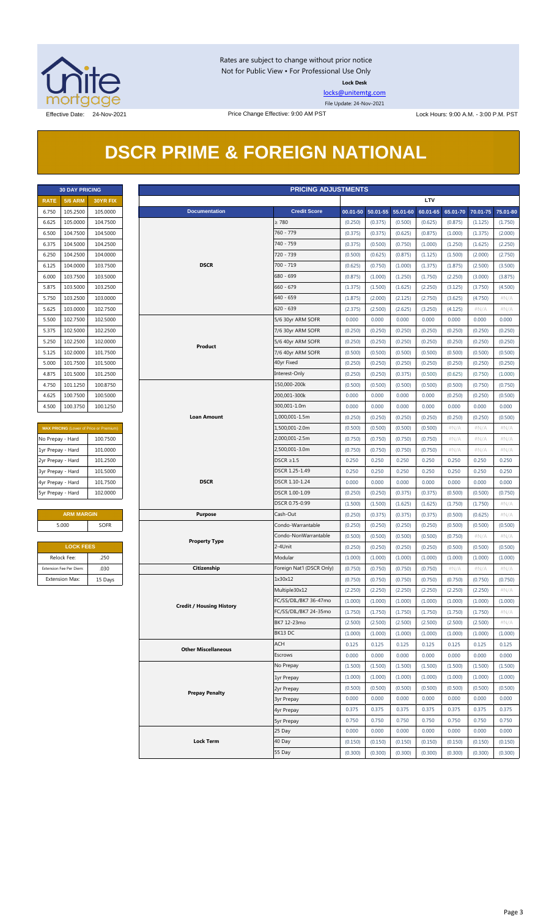

Rates are subject to change without prior notice Not for Public View • For Professional Use Only **Lock Desk**

[locks@unitemtg.com](mailto:locks@unitemtg.com)

File Update: 24-Nov-2021

## **DSCR PRIME & FOREIGN NATIONAL**

|             | <b>30 DAY PRICING</b> |                 |  |  |  |  |  |  |
|-------------|-----------------------|-----------------|--|--|--|--|--|--|
| <b>RATF</b> | <b>5/6 ARM</b>        | <b>30YR FIX</b> |  |  |  |  |  |  |
| 6.750       | 105.2500              | 105.0000        |  |  |  |  |  |  |
| 6.625       | 105.0000              | 104.7500        |  |  |  |  |  |  |
| 6.500       | 104.7500              | 104.5000        |  |  |  |  |  |  |
| 6.375       | 104.5000              | 104.2500        |  |  |  |  |  |  |
| 6.250       | 104.2500              | 104.0000        |  |  |  |  |  |  |
| 6.125       | 104.0000              | 103.7500        |  |  |  |  |  |  |
| 6.000       | 103.7500              | 103.5000        |  |  |  |  |  |  |
| 5.875       | 103.5000              | 103.2500        |  |  |  |  |  |  |
| 5.750       | 103.2500              | 103.0000        |  |  |  |  |  |  |
| 5.625       | 103.0000              | 102.7500        |  |  |  |  |  |  |
| 5.500       | 102.7500              | 102.5000        |  |  |  |  |  |  |
| 5.375       | 102.5000              | 102.2500        |  |  |  |  |  |  |
| 5.250       | 102.2500              | 102,0000        |  |  |  |  |  |  |
| 5.125       | 102.0000              | 101.7500        |  |  |  |  |  |  |
| 5.000       | 101.7500              | 101.5000        |  |  |  |  |  |  |
| 4.875       | 101.5000              | 101.2500        |  |  |  |  |  |  |
| 4.750       | 101.1250              | 100.8750        |  |  |  |  |  |  |
| 4.625       | 100.7500              | 100.5000        |  |  |  |  |  |  |
| 4.500       | 100.3750              | 100.1250        |  |  |  |  |  |  |

| <b>MAX PRICING</b> (Lower of Price or Premium) |          |  |  |  |  |  |
|------------------------------------------------|----------|--|--|--|--|--|
| No Prepay - Hard                               | 100.7500 |  |  |  |  |  |
| 1yr Prepay - Hard                              | 101.0000 |  |  |  |  |  |
| 2yr Prepay - Hard                              | 101.2500 |  |  |  |  |  |
| 3yr Prepay - Hard                              | 101.5000 |  |  |  |  |  |
| 4yr Prepay - Hard                              | 101.7500 |  |  |  |  |  |
| 5yr Prepay - Hard                              | 102,0000 |  |  |  |  |  |

| <b>ARM MARGIN</b> |             |  |  |  |  |
|-------------------|-------------|--|--|--|--|
| 5.000             | <b>SOFR</b> |  |  |  |  |
|                   |             |  |  |  |  |

| <b>LOCK FEES</b>        |         |  |  |  |  |  |
|-------------------------|---------|--|--|--|--|--|
| Relock Fee:             | .250    |  |  |  |  |  |
| Extension Fee Per Diem: | .030    |  |  |  |  |  |
| <b>Extension Max:</b>   | 15 Days |  |  |  |  |  |

| <b>PRICING ADJUSTMENTS</b><br><b>30 DAY PRICING</b> |                         |                                         |                                 |                           |         |                            |                    |                    |                    |                            |                    |
|-----------------------------------------------------|-------------------------|-----------------------------------------|---------------------------------|---------------------------|---------|----------------------------|--------------------|--------------------|--------------------|----------------------------|--------------------|
| <b>RATE</b>                                         | <b>5/6 ARM</b>          | 30YR FIX                                |                                 |                           |         |                            |                    | <b>LTV</b>         |                    |                            |                    |
| 6.750                                               | 105.2500                | 105.0000                                | <b>Documentation</b>            | <b>Credit Score</b>       |         | 00.01-50 50.01-55 55.01-60 |                    | 60.01-65           |                    | 65.01-70 70.01-75 75.01-80 |                    |
| 6.625                                               | 105.0000                | 104.7500                                |                                 | $\geq 780$                | (0.250) | (0.375)                    | (0.500)            | (0.625)            | (0.875)            | (1.125)                    | (1.750)            |
| 6.500                                               | 104.7500                | 104.5000                                |                                 | 760 - 779                 | (0.375) | (0.375)                    | (0.625)            | (0.875)            | (1.000)            | (1.375)                    | (2.000)            |
| 6.375                                               | 104.5000                | 104.2500                                |                                 | 740 - 759                 | (0.375) | (0.500)                    | (0.750)            | (1.000)            | (1.250)            | (1.625)                    | (2.250)            |
| 6.250                                               | 104.2500                | 104.0000                                |                                 | 720 - 739                 | (0.500) | (0.625)                    | (0.875)            | (1.125)            | (1.500)            | (2.000)                    | (2.750)            |
| 6.125                                               | 104.0000                | 103.7500                                | <b>DSCR</b>                     | 700 - 719                 | (0.625) | (0.750)                    | (1.000)            | (1.375)            | (1.875)            | (2.500)                    | (3.500)            |
| 6.000                                               | 103.7500                | 103.5000                                |                                 | 680 - 699                 | (0.875) | (1.000)                    | (1.250)            | (1.750)            | (2.250)            | (3.000)                    | (3.875)            |
| 5.875                                               | 103.5000                | 103.2500                                |                                 | $660 - 679$               | (1.375) | (1.500)                    | (1.625)            | (2.250)            | (3.125)            | (3.750)                    | (4.500)            |
| 5.750                                               | 103.2500                | 103.0000                                |                                 | 640 - 659                 | (1.875) | (2.000)                    | (2.125)            | (2.750)            | (3.625)            | (4.750)                    | $\#N/A$            |
| 5.625                                               | 103.0000                | 102.7500                                |                                 | $620 - 639$               | (2.375) | (2.500)                    | (2.625)            | (3.250)            | (4.125)            | # $N/A$                    | $\#N/A$            |
| 5.500                                               | 102.7500                | 102.5000                                |                                 | 5/6 30yr ARM SOFR         | 0.000   | 0.000                      | 0.000              | 0.000              | 0.000              | 0.000                      | 0.000              |
| 5.375                                               | 102.5000                | 102.2500                                |                                 | 7/6 30yr ARM SOFR         | (0.250) | (0.250)                    | (0.250)            | (0.250)            | (0.250)            | (0.250)                    | (0.250)            |
| 5.250                                               | 102.2500                | 102.0000                                |                                 | 5/6 40yr ARM SOFR         | (0.250) | (0.250)                    | (0.250)            | (0.250)            | (0.250)            | (0.250)                    | (0.250)            |
| 5.125                                               | 102.0000                | 101.7500                                | Product                         | 7/6 40yr ARM SOFR         | (0.500) | (0.500)                    | (0.500)            | (0.500)            | (0.500)            | (0.500)                    | (0.500)            |
| 5.000                                               | 101.7500                | 101.5000                                |                                 | 40yr Fixed                | (0.250) | (0.250)                    | (0.250)            | (0.250)            | (0.250)            | (0.250)                    | (0.250)            |
| 4.875                                               | 101.5000                | 101.2500                                |                                 | Interest-Only             | (0.250) | (0.250)                    | (0.375)            | (0.500)            | (0.625)            | (0.750)                    | (1.000)            |
| 4.750                                               | 101.1250                | 100.8750                                |                                 | 150,000-200k              | (0.500) | (0.500)                    | (0.500)            | (0.500)            | (0.500)            | (0.750)                    | (0.750)            |
| 4.625                                               | 100.7500                | 100.5000                                |                                 | 200,001-300k              | 0.000   | 0.000                      | 0.000              | 0.000              | (0.250)            | (0.250)                    | (0.500)            |
| 4.500                                               | 100.3750                | 100.1250                                |                                 | 300,001-1.0m              | 0.000   | 0.000                      | 0.000              | 0.000              | 0.000              | 0.000                      | 0.000              |
|                                                     |                         |                                         | <b>Loan Amount</b>              | 1,000,001-1.5m            | (0.250) | (0.250)                    | (0.250)            | (0.250)            | (0.250)            | (0.250)                    | (0.500)            |
|                                                     |                         | MAX PRICING (Lower of Price or Premium) |                                 | 1,500,001-2.0m            | (0.500) | (0.500)                    | (0.500)            | (0.500)            | $\#N/A$            | #N/A                       | $\#N/A$            |
| No Prepay - Hard                                    |                         | 100.7500                                |                                 | 2,000,001-2.5m            | (0.750) | (0.750)                    | (0.750)            | (0.750)            | # $N/A$            | # $N/A$                    | $\#N/A$            |
| 1yr Prepay - Hard                                   |                         | 101.0000                                |                                 | 2,500,001-3.0m            | (0.750) | (0.750)                    | (0.750)            | (0.750)            | # $N/A$            | # $N/A$                    | $\#N/A$            |
| 2yr Prepay - Hard                                   |                         | 101.2500                                |                                 | $DSCR \geq 1.5$           | 0.250   | 0.250                      | 0.250              | 0.250              | 0.250              | 0.250                      | 0.250              |
| 3yr Prepay - Hard                                   |                         | 101.5000                                |                                 | DSCR 1.25-1.49            | 0.250   | 0.250                      | 0.250              | 0.250              | 0.250              | 0.250                      | 0.250              |
| 4yr Prepay - Hard                                   |                         | 101.7500                                | <b>DSCR</b>                     | DSCR 1.10-1.24            | 0.000   | 0.000                      | 0.000              | 0.000              | 0.000              | 0.000                      | 0.000              |
| 5yr Prepay - Hard                                   |                         | 102.0000                                |                                 | DSCR 1.00-1.09            | (0.250) | (0.250)                    | (0.375)            | (0.375)            | (0.500)            | (0.500)                    | (0.750)            |
|                                                     |                         |                                         |                                 | DSCR 0.75-0.99            | (1.500) | (1.500)                    | (1.625)            | (1.625)            | (1.750)            | (1.750)                    | #N/A               |
|                                                     | <b>ARM MARGIN</b>       |                                         | <b>Purpose</b>                  | Cash-Out                  |         |                            |                    |                    |                    |                            |                    |
|                                                     | 5.000                   |                                         |                                 | Condo-Warrantable         | (0.250) | (0.375)                    | (0.375)            | (0.375)            | (0.500)            | (0.625)                    | $\#N/A$            |
|                                                     |                         | <b>SOFR</b>                             |                                 | Condo-NonWarrantable      | (0.250) | (0.250)                    | (0.250)            | (0.250)            | (0.500)            | (0.500)                    | (0.500)            |
|                                                     | <b>LOCK FEES</b>        |                                         | <b>Property Type</b>            | 2-4Unit                   | (0.500) | (0.500)                    | (0.500)            | (0.500)            | (0.750)            | #N/A                       | #N/A               |
|                                                     | Relock Fee:             |                                         |                                 | Modular                   | (0.250) | (0.250)                    | (0.250)            | (0.250)            | (0.500)            | (0.500)                    | (0.500)            |
|                                                     | Extension Fee Per Diem: | .250                                    | Citizenship                     |                           | (1.000) | (1.000)                    | (1.000)            | (1.000)            | (1.000)            | (1.000)                    | (1.000)            |
|                                                     |                         | .030                                    |                                 | Foreign Nat'l (DSCR Only) | (0.750) | (0.750)                    | (0.750)            | (0.750)            | $\#N/A$            | $\#N/A$                    | $\#N/A$            |
|                                                     | <b>Extension Max:</b>   | 15 Days                                 |                                 | 1x30x12<br>Multiple30x12  | (0.750) | (0.750)                    | (0.750)            | (0.750)            | (0.750)            | (0.750)                    | (0.750)<br>$\#N/A$ |
|                                                     |                         |                                         |                                 | FC/SS/DIL/BK7 36-47mo     | (2.250) | (2.250)<br>(1.000)         | (2.250)<br>(1.000) | (2.250)<br>(1.000) | (2.250)<br>(1.000) | (2.250)<br>(1.000)         | (1.000)            |
|                                                     |                         |                                         | <b>Credit / Housing History</b> | FC/SS/DIL/BK7 24-35mo     | (1.000) | (1.750)                    | (1.750)            | (1.750)            | (1.750)            | (1.750)                    | $\#N/A$            |
|                                                     |                         |                                         |                                 | BK7 12-23mo               | (1.750) |                            |                    |                    |                    |                            |                    |
|                                                     |                         |                                         |                                 | BK13 DC                   | (2.500) | (2.500)                    | (2.500)            | (2.500)            | (2.500)            | (2.500)                    | # $N/A$            |
|                                                     |                         |                                         |                                 |                           | (1.000) | (1.000)                    | (1.000)            | (1.000)            | (1.000)            | (1.000)                    | (1.000)            |
|                                                     |                         |                                         | <b>Other Miscellaneous</b>      | <b>ACH</b>                | 0.125   | 0.125                      | 0.125              | 0.125              | 0.125              | 0.125                      | 0.125              |
|                                                     |                         |                                         |                                 | Escrows                   | 0.000   | 0.000                      | 0.000              | 0.000              | 0.000              | 0.000                      | 0.000              |
|                                                     |                         |                                         |                                 | No Prepay                 | (1.500) | (1.500)                    | (1.500)            | (1.500)            | (1.500)            | (1.500)                    | (1.500)            |
|                                                     |                         |                                         |                                 | 1yr Prepay                | (1.000) | (1.000)                    | (1.000)            | (1.000)            | (1.000)            | (1.000)                    | (1.000)            |
|                                                     |                         |                                         | <b>Prepay Penalty</b>           | 2yr Prepay                | (0.500) | (0.500)                    | (0.500)            | (0.500)            | (0.500)            | (0.500)                    | (0.500)            |
|                                                     |                         |                                         |                                 | <b>3yr Prepay</b>         | 0.000   | 0.000                      | 0.000              | 0.000              | 0.000              | 0.000                      | 0.000              |
|                                                     |                         |                                         |                                 | 4yr Prepay                | 0.375   | 0.375                      | 0.375              | 0.375              | 0.375              | 0.375                      | 0.375              |
|                                                     |                         |                                         |                                 | <b>5yr Prepay</b>         | 0.750   | 0.750                      | 0.750              | 0.750              | 0.750              | 0.750                      | 0.750              |
|                                                     |                         |                                         |                                 | 25 Day                    | 0.000   | 0.000                      | 0.000              | 0.000              | 0.000              | 0.000                      | 0.000              |
|                                                     |                         |                                         | <b>Lock Term</b>                | 40 Day                    | (0.150) | (0.150)                    | (0.150)            | (0.150)            | (0.150)            | (0.150)                    | (0.150)            |
|                                                     |                         |                                         |                                 | 55 Day                    | (0.300) | (0.300)                    | (0.300)            | (0.300)            | (0.300)            | (0.300)                    | (0.300)            |

#### Page 3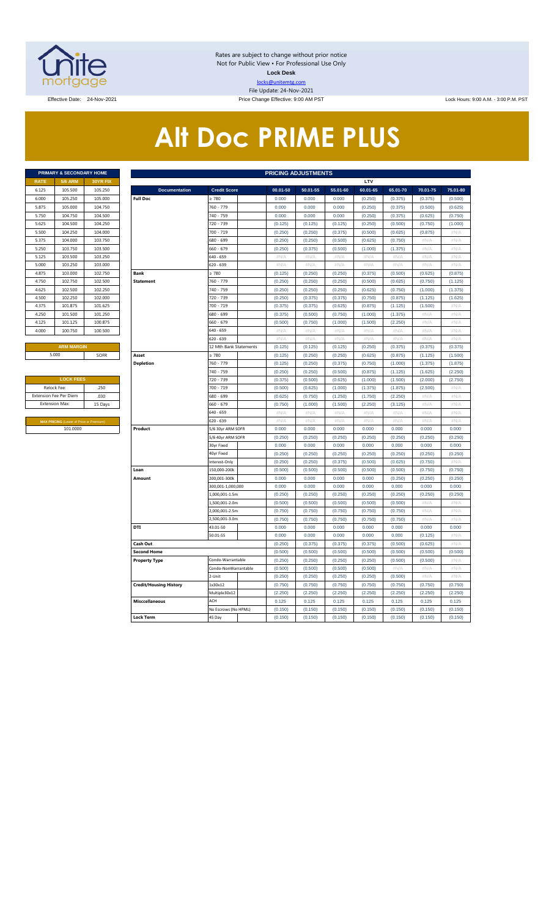

Rates are subject to change without prior notice Not for Public View • For Professional Use Only **Lock Desk** locks@unitemtg.com File Update: 24-Nov-2021

Effective: 9:00 AM PST Lock Hours: 9:00 AM. - 3:00 P.M. PST Lock Hours: 9:00 AM. - 3:00 P.M. PST

# **Alt Doc PRIME PLUS**

|             | <b>PRIMARY &amp; SECONDARY HOME</b> |                 |
|-------------|-------------------------------------|-----------------|
| <b>RATE</b> | <b>5/6 ARM</b>                      | <b>30YR FIX</b> |
| 6.125       | 105.500                             | 105.250         |
| 6.000       | 105.250                             | 105,000         |
| 5.875       | 105,000                             | 104.750         |
| 5.750       | 104.750                             | 104.500         |
| 5.625       | 104.500                             | 104.250         |
| 5.500       | 104.250                             | 104.000         |
| 5.375       | 104.000                             | 103.750         |
| 5.250       | 103.750                             | 103.500         |
| 5.125       | 103.500                             | 103.250         |
| 5.000       | 103.250                             | 103.000         |
| 4.875       | 103,000                             | 102.750         |
| 4.750       | 102.750                             | 102.500         |
| 4.625       | 102.500                             | 102.250         |
| 4.500       | 102.250                             | 102.000         |
| 4.375       | 101.875                             | 101.625         |
| 4.250       | 101.500                             | 101.250         |
| 4.125       | 101.125                             | 100.875         |
| 4.000       | 100.750                             | 100.500         |
|             |                                     |                 |

| <b>LOCK FEES</b>                               |         |  |  |  |  |  |  |  |  |
|------------------------------------------------|---------|--|--|--|--|--|--|--|--|
| Relock Fee:                                    | .250    |  |  |  |  |  |  |  |  |
| <b>Extension Fee Per Diem</b>                  | .030    |  |  |  |  |  |  |  |  |
| <b>Extension Max:</b>                          | 15 Days |  |  |  |  |  |  |  |  |
|                                                |         |  |  |  |  |  |  |  |  |
| <b>MAX PRICING (Lower of Price or Premium)</b> |         |  |  |  |  |  |  |  |  |
| 101,0000                                       |         |  |  |  |  |  |  |  |  |

|                | PRIMARY & SECONDARY HOME                |          |                               |                        |                           | <b>PRICING ADJUSTMENTS</b> |          |                           |          |          |             |
|----------------|-----------------------------------------|----------|-------------------------------|------------------------|---------------------------|----------------------------|----------|---------------------------|----------|----------|-------------|
| RATE           | <b>5/6 ARM</b>                          | 30YR FIX |                               |                        |                           |                            |          | LTV                       |          |          |             |
| 6.125          | 105.500                                 | 105.250  | <b>Documentation</b>          | <b>Credit Score</b>    | 00.01-50                  | 50.01-55                   | 55.01-60 | 60.01-65                  | 65.01-70 | 70.01-75 | 75.01-80    |
| 6.000          | 105.250                                 | 105.000  | <b>Full Doc</b>               | >780                   | 0.000                     | 0.000                      | 0.000    | (0.250)                   | (0.375)  | (0.375)  | (0.500)     |
| 5.875          | 105.000                                 | 104.750  |                               | 760 - 779              | 0.000                     | 0.000                      | 0.000    | (0.250)                   | (0.375)  | (0.500)  | (0.625)     |
| 5.750          | 104.750                                 | 104.500  |                               | 740 - 759              | 0.000                     | 0.000                      | 0.000    | (0.250)                   | (0.375)  | (0.625)  | (0.750)     |
| 5.625          | 104.500                                 | 104.250  |                               | 720 - 739              | (0.125)                   | (0.125)                    | (0.125)  | (0.250)                   | (0.500)  | (0.750)  | (1.000)     |
| 5.500          | 104.250                                 | 104.000  |                               | 700 - 719              | (0.250)                   | (0.250)                    | (0.375)  | (0.500)                   | (0.625)  | (0.875)  | $\#N/\beta$ |
| 5.375          | 104.000                                 | 103.750  |                               | 680 - 699              | (0.250)                   | (0.250)                    | (0.500)  | (0.625)                   | (0.750)  | #N//     | #N/A        |
| 5.250          | 103.750                                 | 103.500  |                               | 660 - 679              | (0.250)                   | (0.375)                    | (0.500)  | (1.000)                   | (1.375)  | #N/A     | #N/A        |
| 5.125          | 103.500                                 | 103.250  |                               | $540 - 659$            | $\#N/A$                   | #N/A                       | #N/A     | $\#N/A$                   | #N/A     | #N/A     | #N/A        |
| 5.000          | 103.250                                 | 103.000  |                               | 620 - 639              | #N/A                      | #N/A                       | #N/A     | #N/A                      | $\#N/A$  | #N/A     | $\#N/A$     |
| 4.875          | 103,000                                 | 102.750  | <b>Bank</b>                   | $\geq 780$             | (0.125)                   | (0.250)                    | (0.250)  | (0.375)                   | (0.500)  | (0.625)  | (0.875)     |
| 4.750          | 102.750                                 | 102.500  | <b>Statement</b>              | 760 - 779              | (0.250)                   | (0.250)                    | (0.250)  | (0.500)                   | (0.625)  | (0.750)  | (1.125)     |
| 4.625          | 102.500                                 | 102.250  |                               | 740 - 759              | (0.250)                   | (0.250)                    | (0.250)  | (0.625)                   | (0.750)  | (1.000)  | (1.375)     |
| 4.500          | 102.250                                 | 102.000  |                               | 720 - 739              | (0.250)                   | (0.375)                    | (0.375)  | (0.750)                   | (0.875)  | (1.125)  | (1.625)     |
| 4.375          | 101.875                                 | 101.625  |                               | 700 - 719              | (0.375)                   | (0.375)                    | (0.625)  | (0.875)                   | (1.125)  | (1.500)  | $\#N/A$     |
| 4.250          | 101.500                                 | 101.250  |                               | 680 - 699              | (0.375)                   | (0.500)                    | (0.750)  | (1.000)                   | (1.375)  | #N/A     | #N/A        |
| 4.125          | 101.125                                 | 100.875  |                               | 660 - 679              | (0.500)                   | (0.750)                    | (1.000)  | (1.500)                   | (2.250)  | # $N/A$  | #N/A        |
| 4.000          | 100.750                                 | 100.500  |                               | $640 - 659$            | #N/A                      | #N/A                       | $\#N/A$  | $\#N/A$                   | #N/A     | #N/A     | #N/A        |
|                |                                         |          |                               | $620 - 639$            | $\#N/A$                   | $\#N/A$                    | $\#N/A$  | $\#N/A$                   | $\#N/A$  | #N/A     | $\#N/A$     |
|                | <b>ARM MARGIN</b>                       |          |                               | 12 Mth Bank Statements | (0.125)                   | (0.125)                    | (0.125)  | (0.250)                   | (0.375)  | (0.375)  | (0.375)     |
|                | 5.000                                   | SOFR     | Asset                         | >780                   | (0.125)                   | (0.250)                    | (0.250)  | (0.625)                   | (0.875)  | (1.125)  | (1.500)     |
|                |                                         |          | <b>Depletion</b>              | 760 - 779              | (0.125)                   | (0.250)                    | (0.375)  | (0.750)                   | (1.000)  | (1.375)  | (1.875)     |
|                |                                         |          |                               | 740 - 759              | (0.250)                   | (0.250)                    | (0.500)  | (0.875)                   | (1.125)  | (1.625)  | (2.250)     |
|                | <b>LOCK FEES</b>                        |          |                               | 720 - 739              | (0.375)                   | (0.500)                    | (0.625)  | (1.000)                   | (1.500)  | (2.000)  | (2.750)     |
| Relock Fee:    |                                         | .250     |                               | 700 - 719              | (0.500)                   | (0.625)                    | (1.000)  | (1.375)                   | (1.875)  | (2.500)  | $\#N/A$     |
|                | xtension Fee Per Diem                   | .030     |                               | 680 - 699              | (0.625)                   | (0.750)                    | (1.250)  | (1.750)                   | (2.250)  | #N//     | #N/A        |
| Extension Max: |                                         | 15 Days  |                               | 660 - 679              | (0.750)                   | (1.000)                    | (1.500)  | (2.250)                   | (3.125)  | #N/A     | #N/A        |
|                |                                         |          |                               | 640 - 659              | $\#N/A$                   | #N/A                       | $\#N/A$  | $\#N/A$                   | $\#N/A$  | #N/A     | #N/A        |
|                | MAX PRICING (Lower of Price or Premium) |          |                               | 620 - 639              | $\#\mathsf{N}/\mathsf{A}$ | # $N/A$                    | $\#N/A$  | $\#\mathsf{N}/\mathsf{A}$ | #N/A     | # $N/A$  | # $N/A$     |
|                | 101.0000                                |          | Product                       | 5/6 30yr ARM SOFR      | 0.000                     | 0.000                      | 0.000    | 0.000                     | 0.000    | 0.000    | 0.000       |
|                |                                         |          |                               | 5/6 40yr ARM SOFR      | (0.250)                   | (0.250)                    | (0.250)  | (0.250)                   | (0.250)  | (0.250)  | (0.250)     |
|                |                                         |          |                               | 30yr Fixed             | 0.000                     | 0.000                      | 0.000    | 0.000                     | 0.000    | 0.000    | 0.000       |
|                |                                         |          |                               | 40yr Fixed             | (0.250)                   | (0.250)                    | (0.250)  | (0.250)                   | (0.250)  | (0.250)  | (0.250)     |
|                |                                         |          |                               | Interest-Only          | (0.250)                   | (0.250)                    | (0.375)  | (0.500)                   | (0.625)  | (0.750)  | #N/A        |
|                |                                         |          | Loan                          | 150,000-200k           | (0.500)                   | (0.500)                    | (0.500)  | (0.500)                   | (0.500)  | (0.750)  | (0.750)     |
|                |                                         |          | Amount                        | 200,001-300k           | 0.000                     | 0.000                      | 0.000    | 0.000                     | (0.250)  | (0.250)  | (0.250)     |
|                |                                         |          |                               | 300,001-1,000,000      | 0.000                     | 0.000                      | 0.000    | 0.000                     | 0.000    | 0.000    | 0.000       |
|                |                                         |          |                               | 1,000,001-1.5m         | (0.250)                   | (0.250)                    | (0.250)  | (0.250)                   | (0.250)  | (0.250)  | (0.250)     |
|                |                                         |          |                               | 1,500,001-2.0m         | (0.500)                   | (0.500)                    | (0.500)  | (0.500)                   | (0.500)  | $\#N$ /  | $\#N$ //    |
|                |                                         |          |                               | 2,000,001-2.5m         | (0.750)                   | (0.750)                    | (0.750)  | (0.750)                   | (0.750)  | #N/A     | #N/A        |
|                |                                         |          |                               | ,500,001-3.0m          | (0.750)                   | (0.750)                    | (0.750)  | (0.750)                   | (0.750)  | #N//     | $\#N/\beta$ |
|                |                                         |          | DTI                           | 43.01-50               | 0.000                     | 0.000                      | 0.000    | 0.000                     | 0.000    | 0.000    | 0.000       |
|                |                                         |          |                               | 50.01-55               | 0.000                     | 0.000                      | 0.000    | 0.000                     | 0.000    | (0.125)  | #N/A        |
|                |                                         |          | Cash Out                      |                        | (0.250)                   | (0.375)                    | (0.375)  | (0.375)                   | (0.500)  | (0.625)  | #N/A        |
|                |                                         |          | <b>Second Home</b>            |                        | (0.500)                   | (0.500)                    | (0.500)  | (0.500)                   | (0.500)  | (0.500)  | (0.500)     |
|                |                                         |          | <b>Property Type</b>          | Condo-Warrantable      | (0.250)                   | (0.250)                    | (0.250)  | (0.250)                   | (0.500)  | (0.500)  | $\#N/A$     |
|                |                                         |          |                               | Condo-NonWarrantable   | (0.500)                   | (0.500)                    | (0.500)  | (0.500)                   | #N/A     | #N/A     | #N/A        |
|                |                                         |          |                               | 2-Unit                 | (0.250)                   | (0.250)                    | (0.250)  | (0.250)                   | (0.500)  | #N/A     | #N/A        |
|                |                                         |          | <b>Credit/Housing History</b> | 1x30x12                | (0.750)                   | (0.750)                    | (0.750)  | (0.750)                   | (0.750)  | (0.750)  | (0.750)     |
|                |                                         |          |                               | Multiple30x12          | (2.250)                   | (2.250)                    | (2.250)  | (2.250)                   | (2.250)  | (2.250)  | (2.250)     |
|                |                                         |          | <b>Misccellaneous</b>         | ACH                    | 0.125                     | 0.125                      | 0.125    | 0.125                     | 0.125    | 0.125    | 0.125       |
|                |                                         |          |                               | No Escrows (No HPML)   | (0.150)                   | (0.150)                    | (0.150)  | (0.150)                   | (0.150)  | (0.150)  | (0.150)     |
|                |                                         |          | <b>Lock Term</b>              | 45 Day                 | (0.150)                   | (0.150)                    | (0.150)  | (0.150)                   | (0.150)  | (0.150)  | (0.150)     |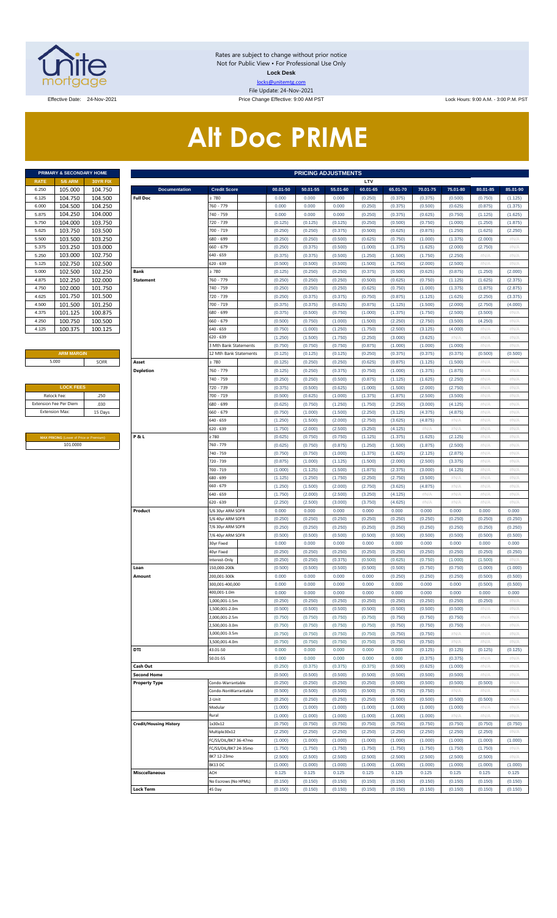

Rates are subject to change without prior notice Not for Public View • For Professional Use Only **Lock Desk** locks@unitemtg.com File Update: 24-Nov-2021

Effective Date: 24-Nov-2021 Price Change Effective: 9:00 AM PST Lock Hours: 9:00 A.M. - 3:00 P.M. PST

# **Alt Doc PRIME**

|             | <b>PRIMARY &amp; SECONDARY HOME</b> |                 |
|-------------|-------------------------------------|-----------------|
| <b>RATE</b> | <b>5/6 ARM</b>                      | <b>30YR FIX</b> |
| 6.250       | 105.000                             | 104.750         |
| 6.125       | 104.750                             | 104.500         |
| 6.000       | 104.500                             | 104.250         |
| 5.875       | 104.250                             | 104.000         |
| 5.750       | 104.000                             | 103.750         |
| 5.625       | 103.750                             | 103.500         |
| 5.500       | 103.500                             | 103.250         |
| 5.375       | 103.250                             | 103.000         |
| 5.250       | 103.000                             | 102.750         |
| 5.125       | 102.750                             | 102.500         |
| 5.000       | 102.500                             | 102.250         |
| 4.875       | 102.250                             | 102.000         |
| 4.750       | 102.000                             | 101.750         |
| 4.625       | 101.750                             | 101.500         |
| 4.500       | 101.500                             | 101.250         |
| 4.375       | 101.125                             | 100.875         |
| 4.250       | 100.750                             | 100.500         |
| 4.125       | 100.375                             | 100.125         |

#### **ARM MARGIN** 5.000

| <b>LOCK FEES</b>              |         |
|-------------------------------|---------|
| Relock Fee:                   | 250     |
| <b>Extension Fee Per Diem</b> | .030    |
| <b>Extension Max:</b>         | 15 Days |
|                               |         |

**MAX PRICING** (Lower of Price or Premium) 101.0000

|                       | PRIMARY & SECONDARY HOME                |                    |                               |                                        |                    | <b>PRICING ADJUSTMENTS</b> |                    |                    |                    |                    |                    |                    |                    |
|-----------------------|-----------------------------------------|--------------------|-------------------------------|----------------------------------------|--------------------|----------------------------|--------------------|--------------------|--------------------|--------------------|--------------------|--------------------|--------------------|
| RATE                  | <b>5/6 ARM</b>                          | 30YR FIX           |                               |                                        |                    |                            |                    | LTV                |                    |                    |                    |                    |                    |
| 6.250                 | 105.000                                 | 104.750            | <b>Documentation</b>          | <b>Credit Score</b>                    | 00.01-50           | 50.01-55                   | 55.01-60           | 60.01-65           | 65.01-70           | 70.01-75           | 75.01-80           | 80.01-85           | 85.01-90           |
| 6.125                 | 104.750                                 | 104.500<br>104.250 | <b>Full Doc</b>               | : 780<br>760 - 779                     | 0.000              | 0.000<br>0.000             | 0.000<br>0.000     | (0.250)            | (0.375)            | (0.375)            | (0.500)<br>(0.625) | (0.750)            | (1.125)            |
| 6.000<br>5.875        | 104.500<br>104.250                      | 104.000            |                               | 740 - 759                              | 0.000<br>0.000     | 0.000                      | 0.000              | (0.250)<br>(0.250) | (0.375)<br>(0.375) | (0.500)<br>(0.625) | (0.750)            | (0.875)<br>(1.125) | (1.375)<br>(1.625) |
| 5.750                 | 104.000                                 | 103.750            |                               | 720 - 739                              | (0.125)            | (0.125)                    | (0.125)            | (0.250)            | (0.500)            | (0.750)            | (1.000)            | (1.250)            | (1.875)            |
| 5.625                 | 103.750                                 | 103.500            |                               | 700 - 719                              | (0.250)            | (0.250)                    | (0.375)            | (0.500)            | (0.625)            | (0.875)            | (1.250)            | (1.625)            | (2.250)            |
| 5.500                 | 103.500                                 | 103.250            |                               | 680 - 699                              | (0.250)            | (0.250)                    | (0.500)            | (0.625)            | (0.750)            | (1.000)            | (1.375)            | (2.000)            | #N/A               |
| 5.375                 | 103.250                                 | 103.000            |                               | 660 - 679                              | (0.250)            | (0.375)                    | (0.500)            | (1.000)            | (1.375)            | (1.625)            | (2.000)            | (2.750)            | #N/A               |
| 5.250                 | 103.000                                 | 102.750            |                               | 640 - 659                              | (0.375)            | (0.375)                    | (0.500)            | (1.250)            | (1.500)            | (1.750)            | (2.250)            | #N/A               | #N/A               |
| 5.125                 | 102.750                                 | 102.500            |                               | 620 - 639                              | (0.500)            | (0.500)                    | (0.500)            | (1.500)            | (1.750)            | (2.000)            | (2.500)            | #N/A               | #N/A               |
| 5.000                 | 102.500                                 | 102.250            | Bank                          | : 780                                  | (0.125)            | (0.250)                    | (0.250)            | (0.375)            | (0.500)            | (0.625)            | (0.875)            | (1.250)            | (2.000)            |
| 4.875                 | 102.250                                 | 102.000            | <b>Statement</b>              | 760 - 779                              | (0.250)            | (0.250)                    | (0.250)            | (0.500)            | (0.625)            | (0.750)            | (1.125)            | (1.625)            | (2.375)            |
| 4.750                 | 102.000                                 | 101.750            |                               | 740 - 759                              | (0.250)            | (0.250)                    | (0.250)            | (0.625)            | (0.750)            | (1.000)            | (1.375)            | (1.875)            | (2.875)            |
| 4.625                 | 101.750<br>101.500                      | 101.500            |                               | 720 - 739<br>700 - 719                 | (0.250)            | (0.375)                    | (0.375)            | (0.750)            | (0.875)            | (1.125)            | (1.625)            | (2.250)            | (3.375)            |
| 4.500<br>4.375        | 101.125                                 | 101.250<br>100.875 |                               | 680 - 699                              | (0.375)<br>(0.375) | (0.375)<br>(0.500)         | (0.625)<br>(0.750) | (0.875)<br>(1.000) | (1.125)<br>(1.375) | (1.500)<br>(1.750) | (2.000)<br>(2.500) | (2.750)<br>(3.500) | (4.000)<br>#N/A    |
| 4.250                 | 100.750                                 | 100.500            |                               | 660 - 679                              | (0.500)            | (0.750)                    | (1.000)            | (1.500)            | (2.250)            | (2.750)            | (3.500)            | (4.250)            | #N/A               |
| 4.125                 | 100.375                                 | 100.125            |                               | 640 - 659                              | (0.750)            | (1.000)                    | (1.250)            | (1.750)            | (2.500)            | (3.125)            | (4.000)            | #N/A               | #N/A               |
|                       |                                         |                    |                               | 620 - 639                              | (1.250)            | (1.500)                    | (1.750)            | (2.250)            | (3.000)            | (3.625)            | #N/A               | #N/A               | #N/A               |
|                       |                                         |                    |                               | 3 Mth Bank Statements                  | (0.750)            | (0.750)                    | (0.750)            | (0.875)            | (1.000)            | (1.000)            | (1.000)            | #N/A               | #N/A               |
|                       | <b>ARM MARGIN</b>                       |                    |                               | 12 Mth Bank Statements                 | (0.125)            | (0.125)                    | (0.125)            | (0.250)            | (0.375)            | (0.375)            | (0.375)            | (0.500)            | (0.500)            |
|                       | 5.000                                   | SOFR               | Asset                         | 2780                                   | (0.125)            | (0.250)                    | (0.250)            | (0.625)            | (0.875)            | (1.125)            | (1.500)            | #N/A               | #N/A               |
|                       |                                         |                    | <b>Depletion</b>              | 760 - 779                              | (0.125)            | (0.250)                    | (0.375)            | (0.750)            | (1.000)            | (1.375)            | (1.875)            | #N/A               | #N/A               |
|                       |                                         |                    |                               | 740 - 759                              | (0.250)            | (0.250)                    | (0.500)            | (0.875)            | (1.125)            | (1.625)            | (2.250)            | $\#N/A$            | #N/A               |
|                       | <b>LOCK FEES</b>                        |                    |                               | 720 - 739                              | (0.375)            | (0.500)                    | (0.625)            | (1.000)            | (1.500)            | (2.000)            | (2.750)            | $\#N/A$            | #N/A               |
| Relock Fee:           |                                         | .250               |                               | 700 - 719                              | (0.500)            | (0.625)                    | (1.000)            | (1.375)            | (1.875)            | (2.500)            | (3.500)            | $\#N/A$            | #N/A               |
|                       | xtension Fee Per Diem                   | .030               |                               | 680 - 699                              | (0.625)            | (0.750)                    | (1.250)            | (1.750)            | (2.250)            | (3.000)            | (4.125)            | # $N/A$            | #N/A               |
| <b>Extension Max:</b> |                                         | 15 Days            |                               | 660 - 679                              | (0.750)            | (1.000)<br>(1.500)         | (1.500)            | (2.250)            | (3.125)            | (4.375)            | (4.875)<br>#N/A    | $\#N/A$<br>$\#N/A$ | #N/A<br>#N/A       |
|                       |                                         |                    |                               | 640 - 659<br>620 - 639                 | (1.250)<br>(1.750) | (2.000)                    | (2.000)<br>(2.500) | (2.750)<br>(3.250) | (3.625)<br>(4.125) | (4.875)<br>#N/A    | #N/A               | $\#N/A$            | #N/A               |
|                       | MAX PRICING (Lower of Price or Premium) |                    | P&L                           | 2780                                   | (0.625)            | (0.750)                    | (0.750)            | (1.125)            | (1.375)            | (1.625)            | (2.125)            | $\#N/A$            | #N/A               |
|                       | 101.0000                                |                    |                               | 760 - 779                              | (0.625)            | (0.750)                    | (0.875)            | (1.250)            | (1.500)            | (1.875)            | (2.500)            | $\#N/A$            | #N/A               |
|                       |                                         |                    |                               | 740 - 759                              | (0.750)            | (0.750)                    | (1.000)            | (1.375)            | (1.625)            | (2.125)            | (2.875)            | # $N/A$            | #N/A               |
|                       |                                         |                    |                               | 720 - 739                              | (0.875)            | (1.000)                    | (1.125)            | (1.500)            | (2.000)            | (2.500)            | (3.375)            | $\#N/A$            | #N/A               |
|                       |                                         |                    |                               | 700 - 719                              | (1.000)            | (1.125)                    | (1.500)            | (1.875)            | (2.375)            | (3.000)            | (4.125)            | $\#N/A$            | #N/A               |
|                       |                                         |                    |                               | 680 - 699                              | (1.125)            | (1.250)                    | (1.750)            | (2.250)            | (2.750)            | (3.500)            | #N/A               | $\#N/A$            | #N/A               |
|                       |                                         |                    |                               | 660 - 679                              | (1.250)            | (1.500)                    | (2.000)            | (2.750)            | (3.625)            | (4.875)            | #N/A               | $\#N/A$            | #N/A               |
|                       |                                         |                    |                               | 640 - 659                              | (1.750)            | (2.000)                    | (2.500)            | (3.250)            | (4.125)            | #N/A               | #N/A               | $\#N/A$            | #N/A               |
|                       |                                         |                    |                               | 620 - 639                              | (2.250)            | (2.500)                    | (3.000)            | (3.750)            | (4.625)            | #N/A               | #N/A               | $\#N/A$            | #N/A               |
|                       |                                         |                    | Product                       | 5/6 30yr ARM SOFR                      | 0.000<br>(0.250)   | 0.000<br>(0.250)           | 0.000<br>(0.250)   | 0.000<br>(0.250)   | 0.000<br>(0.250)   | 0.000<br>(0.250)   | 0.000<br>(0.250)   | 0.000<br>(0.250)   | 0.000              |
|                       |                                         |                    |                               | 5/6 40yr ARM SOFR<br>7/6 30yr ARM SOFR | (0.250)            | (0.250)                    | (0.250)            | (0.250)            | (0.250)            | (0.250)            | (0.250)            | (0.250)            | (0.250)<br>(0.250) |
|                       |                                         |                    |                               | 7/6 40yr ARM SOFR                      | (0.500)            | (0.500)                    | (0.500)            | (0.500)            | (0.500)            | (0.500)            | (0.500)            | (0.500)            | (0.500)            |
|                       |                                         |                    |                               | 30yr Fixed                             | 0.000              | 0.000                      | 0.000              | 0.000              | 0.000              | 0.000              | 0.000              | 0.000              | 0.000              |
|                       |                                         |                    |                               | 40yr Fixed                             | (0.250)            | (0.250)                    | (0.250)            | (0.250)            | (0.250)            | (0.250)            | (0.250)            | (0.250)            | (0.250)            |
|                       |                                         |                    |                               | nterest-Only                           | (0.250)            | (0.250)                    | (0.375)            | (0.500)            | (0.625)            | (0.750)            | (1.000)            | (1.500)            | $\#N/A$            |
|                       |                                         |                    | Loan                          | 150,000-200k                           | (0.500)            | (0.500)                    | (0.500)            | (0.500)            | (0.500)            | (0.750)            | (0.750)            | (1.000)            | (1.000)            |
|                       |                                         |                    | Amount                        | 200,001-300k                           | 0.000              | 0.000                      | 0.000              | 0.000              | (0.250)            | (0.250)            | (0.250)            | (0.500)            | (0.500)            |
|                       |                                         |                    |                               | 300,001-400,000                        | 0.000              | 0.000                      | 0.000              | 0.000              | 0.000              | 0.000              | 0.000              | (0.500)            | (0.500)            |
|                       |                                         |                    |                               | 400,001-1.0m                           | 0.000              | 0.000                      | 0.000              | 0.000              | 0.000              | 0.000              | 0.000              | 0.000              | 0.000              |
|                       |                                         |                    |                               | .,000,001-1.5m                         | (0.250)            | (0.250)                    | (0.250)            | (0.250)            | (0.250)            | (0.250)            | (0.250)            | (0.250)            | #N/A               |
|                       |                                         |                    |                               | ,500,001-2.0m<br>.000,001-2.5m         | (0.500)<br>(0.750) | (0.500)<br>(0.750)         | (0.500)<br>(0.750) | (0.500)<br>(0.750) | (0.500)<br>(0.750) | (0.500)<br>(0.750) | (0.500)<br>(0.750) | $\#N/A$<br># $N/A$ | #N/A<br>#N/A       |
|                       |                                         |                    |                               | ,500,001-3.0m                          | (0.750)            | (0.750)                    | (0.750)            | (0.750)            | (0.750)            | (0.750)            | (0.750)            | $\#N/A$            | #N/A               |
|                       |                                         |                    |                               | 3,000,001-3.5m                         | (0.750)            | (0.750)                    | (0.750)            | (0.750)            | (0.750)            | (0.750)            | #N/A               | # $N/A$            | #N/A               |
|                       |                                         |                    |                               | 500,001-4.0m                           | (0.750)            | (0.750)                    | (0.750)            | (0.750)            | (0.750)            | (0.750)            | #N/A               | $\#N/A$            | #N/A               |
|                       |                                         |                    | DTI                           | 43.01-50                               | 0.000              | 0.000                      | 0.000              | 0.000              | 0.000              | (0.125)            | (0.125)            | (0.125)            | (0.125)            |
|                       |                                         |                    |                               | 50.01-55                               | 0.000              | 0.000                      | 0.000              | 0.000              | 0.000              | (0.375)            | (0.375)            | $\#N/A$            | #N/A               |
|                       |                                         |                    | Cash Out                      |                                        | (0.250)            | (0.375)                    | (0.375)            | (0.375)            | (0.500)            | (0.625)            | (1.000)            | # $N/A$            | #N/A               |
|                       |                                         |                    | <b>Second Home</b>            |                                        | (0.500)            | (0.500)                    | (0.500)            | (0.500)            | (0.500)            | (0.500)            | (0.500)            | $\#N/A$            | #N/A               |
|                       |                                         |                    | <b>Property Type</b>          | Condo-Warrantable                      | (0.250)            | (0.250)                    | (0.250)            | (0.250)            | (0.500)            | (0.500)            | (0.500)            | (0.500)            | #N/A               |
|                       |                                         |                    |                               | Condo-NonWarrantable                   | (0.500)            | (0.500)                    | (0.500)            | (0.500)            | (0.750)            | (0.750)            | #N/A               | $\#N/A$            | #N/A               |
|                       |                                         |                    |                               | !-Unit<br>Modular                      | (0.250)<br>(1.000) | (0.250)<br>(1.000)         | (0.250)<br>(1.000) | (0.250)<br>(1.000) | (0.500)<br>(1.000) | (0.500)<br>(1.000) | (0.500)<br>(1.000) | (0.500)<br>$\#N/A$ | #N/A<br>#N/A       |
|                       |                                         |                    |                               | Rural                                  | (1.000)            | (1.000)                    | (1.000)            | (1.000)            | (1.000)            | (1.000)            | #N/A               | # $N/A$            | # $N/A$            |
|                       |                                         |                    | <b>Credit/Housing History</b> | 1x30x12                                | (0.750)            | (0.750)                    | (0.750)            | (0.750)            | (0.750)            | (0.750)            | (0.750)            | (0.750)            | (0.750)            |
|                       |                                         |                    |                               | Multiple30x12                          | (2.250)            | (2.250)                    | (2.250)            | (2.250)            | (2.250)            | (2.250)            | (2.250)            | (2.250)            | #N/A               |
|                       |                                         |                    |                               | FC/SS/DIL/BK7 36-47mo                  | (1.000)            | (1.000)                    | (1.000)            | (1.000)            | (1.000)            | (1.000)            | (1.000)            | (1.000)            | (1.000)            |
|                       |                                         |                    |                               | FC/SS/DIL/BK7 24-35mo                  | (1.750)            | (1.750)                    | (1.750)            | (1.750)            | (1.750)            | (1.750)            | (1.750)            | (1.750)            | #N/A               |
|                       |                                         |                    |                               | BK7 12-23mo                            | (2.500)            | (2.500)                    | (2.500)            | (2.500)            | (2.500)            | (2.500)            | (2.500)            | (2.500)            | #N/A               |
|                       |                                         |                    |                               | BK13DC                                 | (1.000)            | (1.000)                    | (1.000)            | (1.000)            | (1.000)            | (1.000)            | (1.000)            | (1.000)            | (1.000)            |
|                       |                                         |                    | <b>Misccellaneous</b>         | ACH                                    | 0.125              | 0.125                      | 0.125              | 0.125              | 0.125              | 0.125              | 0.125              | 0.125              | 0.125              |
|                       |                                         |                    |                               | No Escrows (No HPML)                   | (0.150)            | (0.150)                    | (0.150)            | (0.150)            | (0.150)            | (0.150)            | (0.150)            | (0.150)            | (0.150)            |
|                       |                                         |                    | <b>Lock Term</b>              | 45 Day                                 | (0.150)            | (0.150)                    | (0.150)            | (0.150)            | (0.150)            | (0.150)            | (0.150)            | (0.150)            | (0.150)            |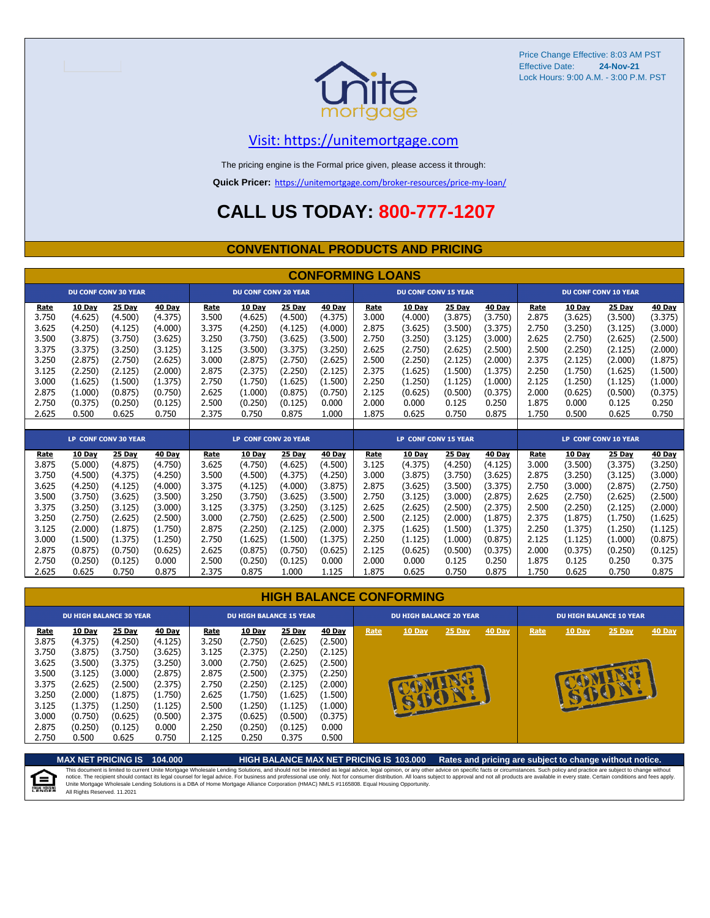

Price Change Effective: 8:03 AM PST Effective Date: Lock Hours: 9:00 A.M. - 3:00 P.M. PST **24-Nov-21**

#### [V](https://unitemortgage.com/)isit: https://unitemortgage.com

The pricing engine is the Formal price given, please access it through:

**Quick Pricer:** [https://un](https://unitemortgage.com/broker-resources/price-my-loan/)itemortgage.com/broker-resources/price-my-loan/

### **CALL US TODAY: 800-777-1207**

#### **CONVENTIONAL PRODUCTS AND PRICING**

|       | <b>CONFORMING LOANS</b> |                             |         |       |                             |         |               |       |                             |         |               |                             |                             |         |               |  |
|-------|-------------------------|-----------------------------|---------|-------|-----------------------------|---------|---------------|-------|-----------------------------|---------|---------------|-----------------------------|-----------------------------|---------|---------------|--|
|       |                         | <b>DU CONF CONV 30 YEAR</b> |         |       | <b>DU CONF CONV 20 YEAR</b> |         |               |       | <b>DU CONF CONV 15 YEAR</b> |         |               |                             | <b>DU CONF CONV 10 YEAR</b> |         |               |  |
| Rate  | 10 Day                  | 25 Day                      | 40 Day  | Rate  | 10 Day                      | 25 Day  | 40 Day        | Rate  | 10 Day                      | 25 Day  | 40 Day        | Rate                        | 10 Day                      | 25 Day  | 40 Day        |  |
| 3.750 | (4.625)                 | (4.500)                     | (4.375) | 3.500 | (4.625)                     | (4.500) | (4.375)       | 3.000 | (4.000)                     | (3.875) | (3.750)       | 2.875                       | (3.625)                     | (3.500) | (3.375)       |  |
| 3.625 | (4.250)                 | (4.125)                     | (4.000) | 3.375 | (4.250)                     | (4.125) | (4.000)       | 2.875 | (3.625)                     | (3.500) | (3.375)       | 2.750                       | (3.250)                     | (3.125) | (3.000)       |  |
| 3.500 | (3.875)                 | (3.750)                     | (3.625) | 3.250 | (3.750)                     | (3.625) | (3.500)       | 2.750 | (3.250)                     | (3.125) | (3.000)       | 2.625                       | (2.750)                     | (2.625) | (2.500)       |  |
| 3.375 | (3.375)                 | (3.250)                     | (3.125) | 3.125 | (3.500)                     | (3.375) | (3.250)       | 2.625 | (2.750)                     | (2.625) | (2.500)       | 2.500                       | (2.250)                     | (2.125) | (2.000)       |  |
| 3.250 | (2.875)                 | (2.750)                     | (2.625) | 3.000 | (2.875)                     | (2.750) | (2.625)       | 2.500 | (2.250)                     | (2.125) | (2.000)       | 2.375                       | (2.125)                     | (2.000) | (1.875)       |  |
| 3.125 | (2.250)                 | (2.125)                     | (2.000) | 2.875 | (2.375)                     | (2.250) | (2.125)       | 2.375 | (1.625)                     | (1.500) | (1.375)       | 2.250                       | (1.750)                     | (1.625) | (1.500)       |  |
| 3.000 | (1.625)                 | (1.500)                     | (1.375) | 2.750 | (1.750)                     | (1.625) | (1.500)       | 2.250 | (1.250)                     | (1.125) | (1.000)       | 2.125                       | (1.250)                     | (1.125) | (1.000)       |  |
| 2.875 | (1.000)                 | (0.875)                     | (0.750) | 2.625 | (1.000)                     | (0.875) | (0.750)       | 2.125 | (0.625)                     | (0.500) | (0.375)       | 2.000                       | (0.625)                     | (0.500) | (0.375)       |  |
| 2.750 | (0.375)                 | (0.250)                     | (0.125) | 2.500 | (0.250)                     | (0.125) | 0.000         | 2.000 | 0.000                       | 0.125   | 0.250         | 1.875                       | 0.000                       | 0.125   | 0.250         |  |
| 2.625 | 0.500                   | 0.625                       | 0.750   | 2.375 | 0.750                       | 0.875   | 1.000         | 1.875 | 0.625                       | 0.750   | 0.875         | 1.750                       | 0.500                       | 0.625   | 0.750         |  |
|       |                         |                             |         |       |                             |         |               |       |                             |         |               |                             |                             |         |               |  |
|       |                         | <b>LP CONF CONV 30 YEAR</b> |         |       | <b>LP CONF CONV 20 YEAR</b> |         |               |       | <b>LP CONF CONV 15 YEAR</b> |         |               | <b>LP CONF CONV 10 YEAR</b> |                             |         |               |  |
| Rate  | 10 Day                  | 25 Day                      | 40 Day  | Rate  | 10 Day                      | 25 Day  | <b>40 Day</b> | Rate  | 10 Day                      | 25 Day  | <b>40 Day</b> | Rate                        | <b>10 Day</b>               | 25 Day  | <b>40 Day</b> |  |
| 3.875 | (5.000)                 | (4.875)                     | (4.750) | 3.625 | (4.750)                     | (4.625) | (4.500)       | 3.125 | (4.375)                     | (4.250) | (4.125)       | 3.000                       | (3.500)                     | (3.375) | (3.250)       |  |
| 3.750 | (4.500)                 | (4.375)                     | (4.250) | 3.500 | (4.500)                     | (4.375) | (4.250)       | 3.000 | (3.875)                     | (3.750) | (3.625)       | 2.875                       | (3.250)                     | (3.125) | (3.000)       |  |
| 3.625 | (4.250)                 | (4.125)                     | (4.000) | 3.375 | (4.125)                     | (4.000) | (3.875)       | 2.875 | (3.625)                     | (3.500) | (3.375)       | 2.750                       | (3.000)                     | (2.875) | (2.750)       |  |
| 3.500 | (3.750)                 | (3.625)                     | (3.500) | 3.250 | (3.750)                     | (3.625) | (3.500)       | 2.750 | (3.125)                     | (3.000) | (2.875)       | 2.625                       | (2.750)                     | (2.625) | (2.500)       |  |
| 3.375 | (3.250)                 | (3.125)                     | (3.000) | 3.125 | (3.375)                     | (3.250) | (3.125)       | 2.625 | (2.625)                     | (2.500) | (2.375)       | 2.500                       | (2.250)                     | (2.125) | (2.000)       |  |
| 3.250 | (2.750)                 | (2.625)                     | (2.500) | 3.000 | (2.750)                     | (2.625) | (2.500)       | 2.500 | (2.125)                     | (2.000) | (1.875)       | 2.375                       | (1.875)                     | (1.750) | (1.625)       |  |
| 3.125 | (2.000)                 | (1.875)                     | (1.750) | 2.875 | (2.250)                     | (2.125) | (2.000)       | 2.375 | (1.625)                     | (1.500) | (1.375)       | 2.250                       | (1.375)                     | (1.250) | (1.125)       |  |
| 3.000 | (1.500)                 | (1.375)                     | (1.250) | 2.750 | (1.625)                     | (1.500) | (1.375)       | 2.250 | (1.125)                     | (1.000) | (0.875)       | 2.125                       | (1.125)                     | (1.000) | (0.875)       |  |

|  | <b>HIGH BALANCE CONFORMING</b> |
|--|--------------------------------|
|  |                                |

2.875 (0.875) (0.750) (0.625) 2.625 (0.875) (0.750) (0.625) 2.125 (0.625) (0.500) (0.375) 2.000 (0.375) (0.250) (0.125) 2.750 (0.250) (0.125) 0.000 2.500 (0.250) (0.125) 0.000 2.000 0.000 0.125 0.250 1.875 0.125 0.250 0.375 2.625 0.625 0.750 0.875 2.375 0.875 1.000 1.125 1.875 0.625 0.750 0.875 1.750 0.625 0.750 0.875

|                                                                                       | <b>DU HIGH BALANCE 30 YEAR</b>                                                                            |                                                                                                           |                                                                                                         | <b>DU HIGH BALANCE 15 YEAR</b>                                                        |                                                                                                                  |                                                                                                           |                                                                                                         |      | <b>DU HIGH BALANCE 20 YEAR</b> |             |        |      | <b>DU HIGH BALANCE 10 YEAR</b> |          |               |  |  |
|---------------------------------------------------------------------------------------|-----------------------------------------------------------------------------------------------------------|-----------------------------------------------------------------------------------------------------------|---------------------------------------------------------------------------------------------------------|---------------------------------------------------------------------------------------|------------------------------------------------------------------------------------------------------------------|-----------------------------------------------------------------------------------------------------------|---------------------------------------------------------------------------------------------------------|------|--------------------------------|-------------|--------|------|--------------------------------|----------|---------------|--|--|
| Rate<br>3.875<br>3.750<br>3.625<br>3.500<br>3.375<br>3.250<br>3.125<br>3.000<br>2.875 | 10 Day<br>(4.375)<br>(3.875)<br>(3.500)<br>(3.125)<br>(2.625)<br>(2.000)<br>(1.375)<br>(0.750)<br>(0.250) | 25 Day<br>(4.250)<br>(3.750)<br>(3.375)<br>(3.000)<br>(2.500)<br>(1.875)<br>(1.250)<br>(0.625)<br>(0.125) | 40 Day<br>(4.125)<br>(3.625)<br>(3.250)<br>(2.875)<br>(2.375)<br>(1.750)<br>(1.125)<br>(0.500)<br>0.000 | Rate<br>3.250<br>3.125<br>3.000<br>2.875<br>2.750<br>2.625<br>2.500<br>2.375<br>2.250 | <b>10 Day</b><br>(2.750)<br>(2.375)<br>(2.750)<br>(2.500)<br>(2.250)<br>(1.750)<br>(1.250)<br>(0.625)<br>(0.250) | 25 Day<br>(2.625)<br>(2.250)<br>(2.625)<br>(2.375)<br>(2.125)<br>(1.625)<br>(1.125)<br>(0.500)<br>(0.125) | 40 Day<br>(2.500)<br>(2.125)<br>(2.500)<br>(2.250)<br>(2.000)<br>(1.500)<br>(1.000)<br>(0.375)<br>0.000 | Rate | 10 Day                         | 25 Day<br>æ | 40 Day | Rate | <b>10 Day</b>                  | $25$ Day | <b>40 Day</b> |  |  |
| 2.750                                                                                 | 0.500                                                                                                     | 0.625                                                                                                     | 0.750                                                                                                   | 2.125                                                                                 | 0.250                                                                                                            | 0.375                                                                                                     | 0.500                                                                                                   |      |                                |             |        |      |                                |          |               |  |  |

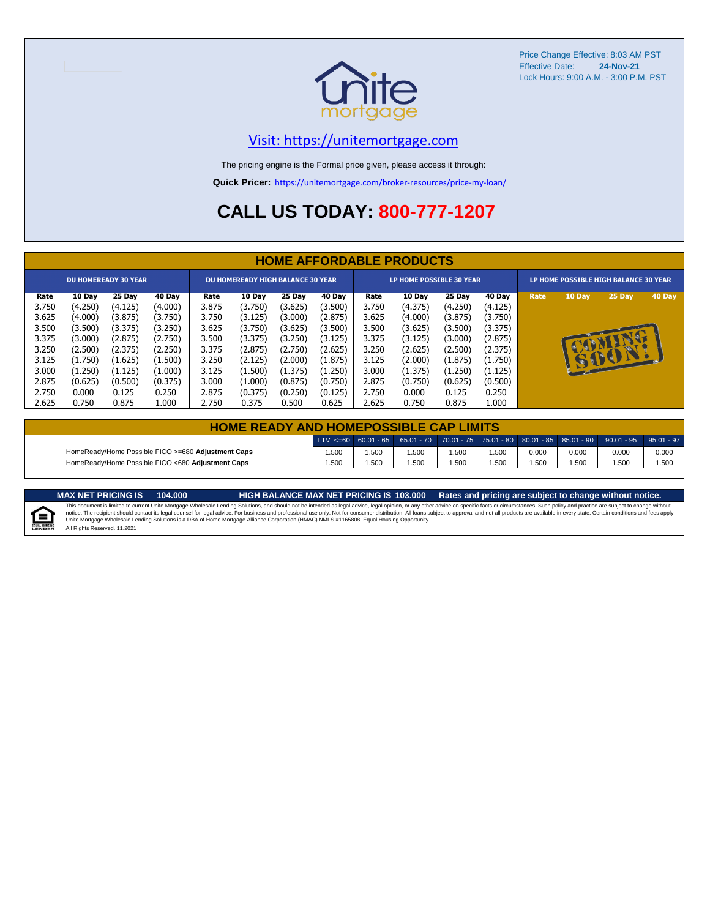

Price Change Effective: 8:03 AM PST Effective Date: **24-Nov-21** Lock Hours: 9:00 A.M. - 3:00 P.M. PST

#### [V](https://unitemortgage.com/)isit: https://unitemortgage.com

The pricing engine is the Formal price given, please access it through:

**Quick Pricer:** [https://un](https://unitemortgage.com/broker-resources/price-my-loan/)itemortgage.com/broker-resources/price-my-loan/

### **CALL US TODAY: 800-777-1207**

|                             | <b>HOME AFFORDABLE PRODUCTS</b> |         |         |                                          |               |         |         |                                 |               |         |         |                                       |              |              |        |
|-----------------------------|---------------------------------|---------|---------|------------------------------------------|---------------|---------|---------|---------------------------------|---------------|---------|---------|---------------------------------------|--------------|--------------|--------|
| <b>DU HOMEREADY 30 YEAR</b> |                                 |         |         | <b>DU HOMEREADY HIGH BALANCE 30 YEAR</b> |               |         |         | <b>LP HOME POSSIBLE 30 YEAR</b> |               |         |         | LP HOME POSSIBLE HIGH BALANCE 30 YEAR |              |              |        |
| <u>Rate</u>                 | 10 Day                          | 25 Day  | 40 Day  | <u>Rate</u>                              | <b>10 Day</b> | 25 Day  | 40 Day  | <u>Rate</u>                     | <b>10 Day</b> | 25 Day  | 40 Day  | Rate                                  | 10 Day       | 25 Day       | 40 Day |
| 3.750                       | (4.250)                         | (4.125) | (4.000) | 3.875                                    | (3.750)       | (3.625) | (3.500) | 3.750                           | (4.375)       | (4.250) | (4.125) |                                       |              |              |        |
| 3.625                       | (4.000)                         | (3.875) | (3.750) | 3.750                                    | (3.125)       | (3.000) | (2.875) | 3.625                           | (4.000)       | (3.875) | (3.750) |                                       |              |              |        |
| 3.500                       | (3.500)                         | (3.375) | (3.250) | 3.625                                    | (3.750)       | (3.625) | (3.500) | 3.500                           | (3.625)       | (3.500) | (3.375) |                                       |              |              |        |
| 3.375                       | (3.000)                         | (2.875) | (2.750) | 3.500                                    | (3.375)       | (3.250) | (3.125) | 3.375                           | (3.125)       | (3.000) | (2.875) |                                       |              |              |        |
| 3.250                       | (2.500)                         | (2.375) | (2.250) | 3.375                                    | (2.875)       | (2.750) | (2.625) | 3.250                           | (2.625)       | (2.500) | (2.375) |                                       |              |              |        |
| 3.125                       | (1.750)                         | (1.625) | (1.500) | 3.250                                    | (2.125)       | (2.000) | (1.875) | 3.125                           | (2.000)       | (1.875) | (1.750) |                                       | $\mathbf{F}$ | $\mathbf{P}$ |        |
| 3.000                       | (1.250)                         | (1.125) | (1.000) | 3.125                                    | (1.500)       | (1.375) | (1.250) | 3.000                           | (1.375)       | (1.250) | (1.125) |                                       |              |              |        |
| 2.875                       | (0.625)                         | (0.500) | (0.375) | 3.000                                    | (1.000)       | (0.875) | (0.750) | 2.875                           | (0.750)       | (0.625) | (0.500) |                                       |              |              |        |
| 2.750                       | 0.000                           | 0.125   | 0.250   | 2.875                                    | (0.375)       | (0.250) | (0.125) | 2.750                           | 0.000         | 0.125   | 0.250   |                                       |              |              |        |
| 2.625                       | 0.750                           | 0.875   | 1.000   | 2.750                                    | 0.375         | 0.500   | 0.625   | 2.625                           | 0.750         | 0.875   | 1.000   |                                       |              |              |        |

| <b>HOME READY AND HOMEPOSSIBLE CAP LIMITS</b>      |       |       |      |       |      |       |       |                                                                                                  |       |  |  |  |
|----------------------------------------------------|-------|-------|------|-------|------|-------|-------|--------------------------------------------------------------------------------------------------|-------|--|--|--|
|                                                    |       |       |      |       |      |       |       | LTV <=60 60.01 - 65 65.01 - 70 70.01 - 75 75.01 - 80 80.01 - 85 85.01 - 90 90.01 - 95 95.01 - 97 |       |  |  |  |
| HomeReady/Home Possible FICO >=680 Adjustment Caps | 1.500 | 1.500 | .500 | 1.500 | .500 | 0.000 | 0.000 | 0.000                                                                                            | 0.000 |  |  |  |
| HomeReady/Home Possible FICO <680 Adjustment Caps  | 1.500 | 1.500 | .500 | .500  | .500 | .500  | .500  | .500                                                                                             | 1.500 |  |  |  |

自

All Rights Reserved. 11.2021

MAX NET PRICING IS 103.000 Rates and pricing are subject to change without notice.<br>This document is limited to current Unite Mortgage Wholesale Lending Solutions, and should not be intended as legal advice, legal opinion,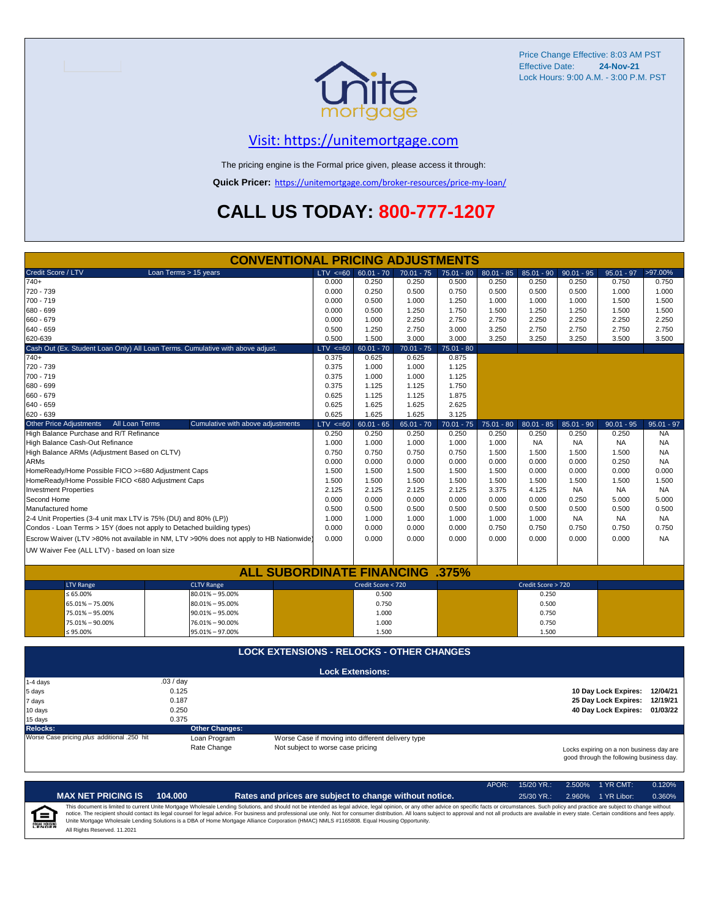

Price Change Effective: 8:03 AM PST Effective Date: **24-Nov-21** Lock Hours: 9:00 A.M. - 3:00 P.M. PST

#### [V](https://unitemortgage.com/)isit: https://unitemortgage.com

The pricing engine is the Formal price given, please access it through:

**Quick Pricer:** [https://un](https://unitemortgage.com/broker-resources/price-my-loan/)itemortgage.com/broker-resources/price-my-loan/

## **CALL US TODAY: 800-777-1207**

|                                                                                | <b>CONVENTIONAL PRICING ADJUSTMENTS</b>                                                |                                   |                                                   |              |              |              |                    |              |                                                                                      |              |
|--------------------------------------------------------------------------------|----------------------------------------------------------------------------------------|-----------------------------------|---------------------------------------------------|--------------|--------------|--------------|--------------------|--------------|--------------------------------------------------------------------------------------|--------------|
| Credit Score / LTV                                                             | Loan Terms > 15 years                                                                  | $LTV \le 60$                      | $60.01 - 70$                                      | $70.01 - 75$ | $75.01 - 80$ | $80.01 - 85$ | $85.01 - 90$       | $90.01 - 95$ | $95.01 - 97$                                                                         | >97.00%      |
| $740+$                                                                         |                                                                                        | 0.000                             | 0.250                                             | 0.250        | 0.500        | 0.250        | 0.250              | 0.250        | 0.750                                                                                | 0.750        |
| 720 - 739                                                                      |                                                                                        | 0.000                             | 0.250                                             | 0.500        | 0.750        | 0.500        | 0.500              | 0.500        | 1.000                                                                                | 1.000        |
| 700 - 719                                                                      |                                                                                        | 0.000                             | 0.500                                             | 1.000        | 1.250        | 1.000        | 1.000              | 1.000        | 1.500                                                                                | 1.500        |
| 680 - 699                                                                      |                                                                                        | 0.000                             | 0.500                                             | 1.250        | 1.750        | 1.500        | 1.250              | 1.250        | 1.500                                                                                | 1.500        |
| 660 - 679                                                                      |                                                                                        | 0.000                             | 1.000                                             | 2.250        | 2.750        | 2.750        | 2.250              | 2.250        | 2.250                                                                                | 2.250        |
| 640 - 659                                                                      |                                                                                        | 0.500                             | 1.250                                             | 2.750        | 3.000        | 3.250        | 2.750              | 2.750        | 2.750                                                                                | 2.750        |
| 620-639                                                                        |                                                                                        | 0.500                             | 1.500                                             | 3.000        | 3.000        | 3.250        | 3.250              | 3.250        | 3.500                                                                                | 3.500        |
| Cash Out (Ex. Student Loan Only) All Loan Terms. Cumulative with above adjust. |                                                                                        | $LTV \le 60$                      | $60.01 - 70$                                      | $70.01 - 75$ | $75.01 - 80$ |              |                    |              |                                                                                      |              |
| $740+$                                                                         |                                                                                        | 0.375                             | 0.625                                             | 0.625        | 0.875        |              |                    |              |                                                                                      |              |
| 720 - 739                                                                      |                                                                                        | 0.375                             | 1.000                                             | 1.000        | 1.125        |              |                    |              |                                                                                      |              |
| 700 - 719                                                                      |                                                                                        | 0.375                             | 1.000                                             | 1.000        | 1.125        |              |                    |              |                                                                                      |              |
| 680 - 699                                                                      |                                                                                        | 0.375                             | 1.125                                             | 1.125        | 1.750        |              |                    |              |                                                                                      |              |
| 660 - 679                                                                      |                                                                                        | 0.625                             | 1.125                                             | 1.125        | 1.875        |              |                    |              |                                                                                      |              |
| 640 - 659                                                                      |                                                                                        | 0.625                             | 1.625                                             | 1.625        | 2.625        |              |                    |              |                                                                                      |              |
| 620 - 639                                                                      |                                                                                        | 0.625                             | 1.625                                             | 1.625        | 3.125        |              |                    |              |                                                                                      |              |
| <b>Other Price Adjustments</b><br>All Loan Terms                               | Cumulative with above adjustments                                                      | $LTV \le 60$                      | $60.01 - 65$                                      | $65.01 - 70$ | $70.01 - 75$ | $75.01 - 80$ | $80.01 - 85$       | $85.01 - 90$ | $90.01 - 95$                                                                         | $95.01 - 97$ |
| High Balance Purchase and R/T Refinance                                        |                                                                                        | 0.250                             | 0.250                                             | 0.250        | 0.250        | 0.250        | 0.250              | 0.250        | 0.250                                                                                | <b>NA</b>    |
| High Balance Cash-Out Refinance                                                |                                                                                        | 1.000                             | 1.000                                             | 1.000        | 1.000        | 1.000        | <b>NA</b>          | <b>NA</b>    | <b>NA</b>                                                                            | <b>NA</b>    |
| High Balance ARMs (Adjustment Based on CLTV)                                   |                                                                                        | 0.750                             | 0.750                                             | 0.750        | 0.750        | 1.500        | 1.500              | 1.500        | 1.500                                                                                | <b>NA</b>    |
| <b>ARMs</b>                                                                    |                                                                                        | 0.000                             | 0.000                                             | 0.000        | 0.000        | 0.000        | 0.000              | 0.000        | 0.250                                                                                | <b>NA</b>    |
| HomeReady/Home Possible FICO >=680 Adjustment Caps                             |                                                                                        | 1.500                             | 1.500                                             | 1.500        | 1.500        | 1.500        | 0.000              | 0.000        | 0.000                                                                                | 0.000        |
| HomeReady/Home Possible FICO <680 Adjustment Caps                              |                                                                                        | 1.500                             | 1.500                                             | 1.500        | 1.500        | 1.500        | 1.500              | 1.500        | 1.500                                                                                | 1.500        |
| <b>Investment Properties</b>                                                   |                                                                                        | 2.125                             | 2.125                                             | 2.125        | 2.125        | 3.375        | 4.125              | <b>NA</b>    | <b>NA</b>                                                                            | <b>NA</b>    |
| Second Home                                                                    |                                                                                        | 0.000                             | 0.000                                             | 0.000        | 0.000        | 0.000        | 0.000              | 0.250        | 5.000                                                                                | 5.000        |
| Manufactured home                                                              |                                                                                        | 0.500                             | 0.500                                             | 0.500        | 0.500        | 0.500        | 0.500              | 0.500        | 0.500                                                                                | 0.500        |
| 2-4 Unit Properties (3-4 unit max LTV is 75% (DU) and 80% (LP))                |                                                                                        | 1.000                             | 1.000                                             | 1.000        | 1.000        | 1.000        | 1.000              | <b>NA</b>    | <b>NA</b>                                                                            | <b>NA</b>    |
| Condos - Loan Terms > 15Y (does not apply to Detached building types)          |                                                                                        | 0.000                             | 0.000                                             | 0.000        | 0.000        | 0.750        | 0.750              | 0.750        | 0.750                                                                                | 0.750        |
|                                                                                | Escrow Waiver (LTV >80% not available in NM, LTV >90% does not apply to HB Nationwide) | 0.000                             | 0.000                                             | 0.000        | 0.000        | 0.000        | 0.000              | 0.000        | 0.000                                                                                | <b>NA</b>    |
| UW Waiver Fee (ALL LTV) - based on loan size                                   |                                                                                        |                                   |                                                   |              |              |              |                    |              |                                                                                      |              |
|                                                                                |                                                                                        |                                   |                                                   |              |              |              |                    |              |                                                                                      |              |
|                                                                                | <b>ALL SUBORDINATE FINANCING</b>                                                       |                                   |                                                   |              | .375%        |              |                    |              |                                                                                      |              |
| <b>LTV Range</b>                                                               | <b>CLTV Range</b>                                                                      |                                   | Credit Score < 720                                |              |              |              | Credit Score > 720 |              |                                                                                      |              |
| $\leq 65.00\%$                                                                 | $80.01\% - 95.00\%$                                                                    |                                   | 0.500                                             |              |              |              | 0.250              |              |                                                                                      |              |
| 65.01% - 75.00%                                                                | $80.01\% - 95.00\%$                                                                    |                                   | 0.750                                             |              |              |              | 0.500              |              |                                                                                      |              |
| 75.01% - 95.00%                                                                | $90.01\% - 95.00\%$                                                                    |                                   | 1.000                                             |              |              |              | 0.750              |              |                                                                                      |              |
| 75.01% - 90.00%                                                                | 76.01% - 90.00%                                                                        |                                   | 1.000                                             |              |              |              | 0.750              |              |                                                                                      |              |
| ≤ 95.00%                                                                       | 95.01% - 97.00%                                                                        |                                   | 1.500                                             |              |              |              | 1.500              |              |                                                                                      |              |
|                                                                                |                                                                                        |                                   |                                                   |              |              |              |                    |              |                                                                                      |              |
|                                                                                | <b>LOCK EXTENSIONS - RELOCKS - OTHER CHANGES</b>                                       |                                   |                                                   |              |              |              |                    |              |                                                                                      |              |
|                                                                                |                                                                                        |                                   | <b>Lock Extensions:</b>                           |              |              |              |                    |              |                                                                                      |              |
| 1-4 days                                                                       | .03 / day                                                                              |                                   |                                                   |              |              |              |                    |              |                                                                                      |              |
| 5 days                                                                         | 0.125                                                                                  |                                   |                                                   |              |              |              |                    |              | 10 Day Lock Expires: 12/04/21                                                        |              |
| 7 days                                                                         | 0.187                                                                                  |                                   |                                                   |              |              |              |                    |              | 25 Day Lock Expires:                                                                 | 12/19/21     |
| 10 days                                                                        | 0.250                                                                                  |                                   |                                                   |              |              |              |                    |              | 40 Day Lock Expires: 01/03/22                                                        |              |
| 15 days                                                                        | 0.375                                                                                  |                                   |                                                   |              |              |              |                    |              |                                                                                      |              |
| <b>Relocks:</b>                                                                | <b>Other Changes:</b>                                                                  |                                   |                                                   |              |              |              |                    |              |                                                                                      |              |
| Worse Case pricing plus additional .250 hit                                    | Loan Program                                                                           |                                   | Worse Case if moving into different delivery type |              |              |              |                    |              |                                                                                      |              |
|                                                                                | Rate Change                                                                            | Not subject to worse case pricing |                                                   |              |              |              |                    |              | Locks expiring on a non business day are<br>good through the following business day. |              |

APOR: 15/20 YR.: 2.500% 1 YR CMT: 0.120% **MAX NET PRICING IS 104.000 Rates and prices are subject to change without notice.** 25/30 YR.: 2.960% 1 YR Libor: 0.360% This document is limited to current Unite Mortgage Wholesale Lending Solutions, and should not be intended as legal advice, legal opinion, or any other advice on specific facts or circumstances. Such policy and practice ar  $=$ **EQUAL HOUSING** All Rights Reserved. 11.2021